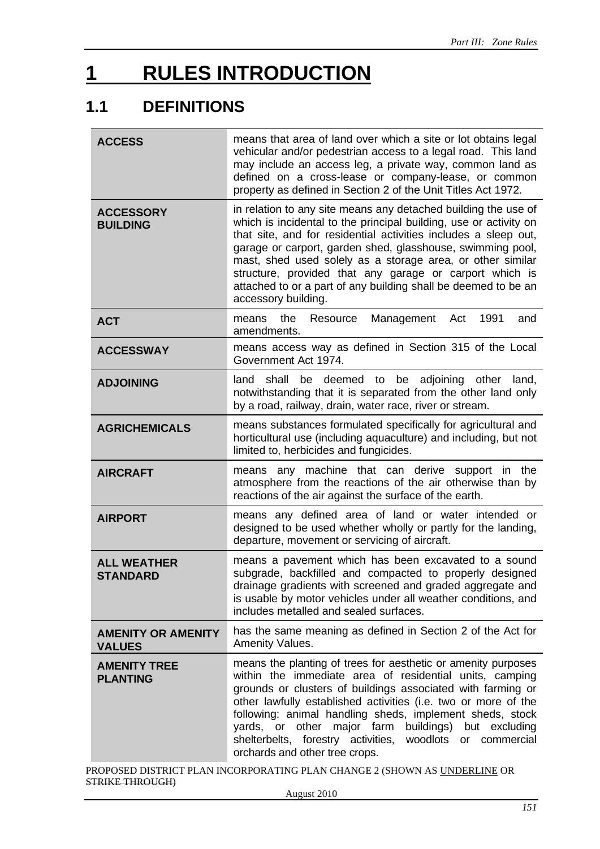# **1 RULES INTRODUCTION**

# **1.1 DEFINITIONS**

| <b>ACCESS</b>                              | means that area of land over which a site or lot obtains legal<br>vehicular and/or pedestrian access to a legal road. This land<br>may include an access leg, a private way, common land as<br>defined on a cross-lease or company-lease, or common<br>property as defined in Section 2 of the Unit Titles Act 1972.                                                                                                                                                                   |  |  |
|--------------------------------------------|----------------------------------------------------------------------------------------------------------------------------------------------------------------------------------------------------------------------------------------------------------------------------------------------------------------------------------------------------------------------------------------------------------------------------------------------------------------------------------------|--|--|
| <b>ACCESSORY</b><br><b>BUILDING</b>        | in relation to any site means any detached building the use of<br>which is incidental to the principal building, use or activity on<br>that site, and for residential activities includes a sleep out,<br>garage or carport, garden shed, glasshouse, swimming pool,<br>mast, shed used solely as a storage area, or other similar<br>structure, provided that any garage or carport which is<br>attached to or a part of any building shall be deemed to be an<br>accessory building. |  |  |
| <b>ACT</b>                                 | the<br>1991<br>Resource<br>Management<br>Act<br>means<br>and<br>amendments.                                                                                                                                                                                                                                                                                                                                                                                                            |  |  |
| <b>ACCESSWAY</b>                           | means access way as defined in Section 315 of the Local<br>Government Act 1974.                                                                                                                                                                                                                                                                                                                                                                                                        |  |  |
| <b>ADJOINING</b>                           | be deemed to be adjoining other<br>land<br>shall<br>land,<br>notwithstanding that it is separated from the other land only<br>by a road, railway, drain, water race, river or stream.                                                                                                                                                                                                                                                                                                  |  |  |
| <b>AGRICHEMICALS</b>                       | means substances formulated specifically for agricultural and<br>horticultural use (including aquaculture) and including, but not<br>limited to, herbicides and fungicides.                                                                                                                                                                                                                                                                                                            |  |  |
| <b>AIRCRAFT</b>                            | any machine that can derive support in the<br>means<br>atmosphere from the reactions of the air otherwise than by<br>reactions of the air against the surface of the earth.                                                                                                                                                                                                                                                                                                            |  |  |
| <b>AIRPORT</b>                             | means any defined area of land or water intended or<br>designed to be used whether wholly or partly for the landing,<br>departure, movement or servicing of aircraft.                                                                                                                                                                                                                                                                                                                  |  |  |
| <b>ALL WEATHER</b><br><b>STANDARD</b>      | means a pavement which has been excavated to a sound<br>subgrade, backfilled and compacted to properly designed<br>drainage gradients with screened and graded aggregate and<br>is usable by motor vehicles under all weather conditions, and<br>includes metalled and sealed surfaces.                                                                                                                                                                                                |  |  |
| <b>AMENITY OR AMENITY</b><br><b>VALUES</b> | has the same meaning as defined in Section 2 of the Act for<br>Amenity Values.                                                                                                                                                                                                                                                                                                                                                                                                         |  |  |
| <b>AMENITY TREE</b><br><b>PLANTING</b>     | means the planting of trees for aesthetic or amenity purposes<br>within the immediate area of residential units, camping<br>grounds or clusters of buildings associated with farming or<br>other lawfully established activities (i.e. two or more of the<br>following: animal handling sheds, implement sheds, stock<br>yards, or other major farm<br>buildings) but excluding<br>shelterbelts, forestry activities,<br>woodlots or commercial<br>orchards and other tree crops.      |  |  |

PROPOSED DISTRICT PLAN INCORPORATING PLAN CHANGE 2 (SHOWN AS UNDERLINE OR STRIKE THROUGH)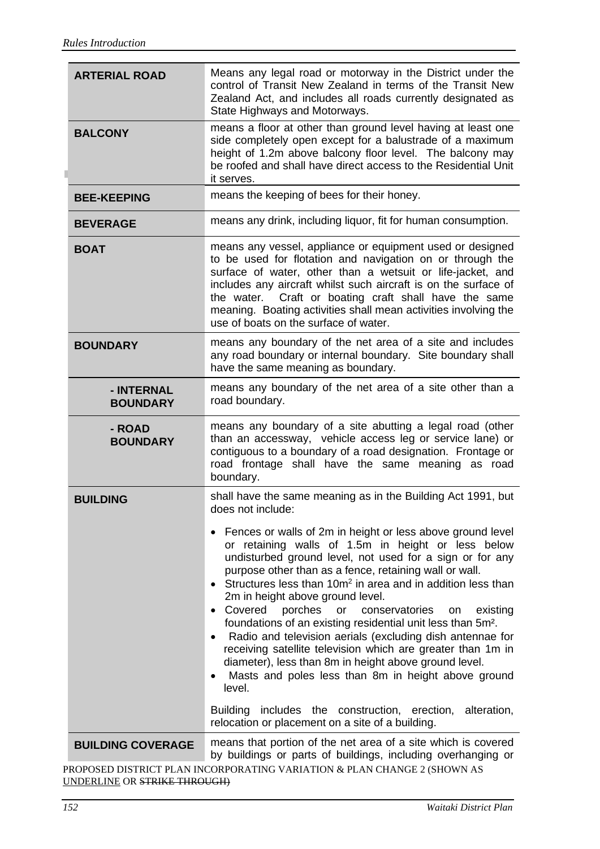| <b>ARTERIAL ROAD</b>          | Means any legal road or motorway in the District under the<br>control of Transit New Zealand in terms of the Transit New<br>Zealand Act, and includes all roads currently designated as<br>State Highways and Motorways.                                                                                                                                                                                                                                                                                                                                                                                                                                                                                                                                                                                                                                                                                                                                                                          |  |  |
|-------------------------------|---------------------------------------------------------------------------------------------------------------------------------------------------------------------------------------------------------------------------------------------------------------------------------------------------------------------------------------------------------------------------------------------------------------------------------------------------------------------------------------------------------------------------------------------------------------------------------------------------------------------------------------------------------------------------------------------------------------------------------------------------------------------------------------------------------------------------------------------------------------------------------------------------------------------------------------------------------------------------------------------------|--|--|
| <b>BALCONY</b>                | means a floor at other than ground level having at least one<br>side completely open except for a balustrade of a maximum<br>height of 1.2m above balcony floor level. The balcony may<br>be roofed and shall have direct access to the Residential Unit<br>it serves.                                                                                                                                                                                                                                                                                                                                                                                                                                                                                                                                                                                                                                                                                                                            |  |  |
| <b>BEE-KEEPING</b>            | means the keeping of bees for their honey.                                                                                                                                                                                                                                                                                                                                                                                                                                                                                                                                                                                                                                                                                                                                                                                                                                                                                                                                                        |  |  |
| <b>BEVERAGE</b>               | means any drink, including liquor, fit for human consumption.                                                                                                                                                                                                                                                                                                                                                                                                                                                                                                                                                                                                                                                                                                                                                                                                                                                                                                                                     |  |  |
| <b>BOAT</b>                   | means any vessel, appliance or equipment used or designed<br>to be used for flotation and navigation on or through the<br>surface of water, other than a wetsuit or life-jacket, and<br>includes any aircraft whilst such aircraft is on the surface of<br>Craft or boating craft shall have the same<br>the water.<br>meaning. Boating activities shall mean activities involving the<br>use of boats on the surface of water.                                                                                                                                                                                                                                                                                                                                                                                                                                                                                                                                                                   |  |  |
| <b>BOUNDARY</b>               | means any boundary of the net area of a site and includes<br>any road boundary or internal boundary. Site boundary shall<br>have the same meaning as boundary.                                                                                                                                                                                                                                                                                                                                                                                                                                                                                                                                                                                                                                                                                                                                                                                                                                    |  |  |
| - INTERNAL<br><b>BOUNDARY</b> | means any boundary of the net area of a site other than a<br>road boundary.                                                                                                                                                                                                                                                                                                                                                                                                                                                                                                                                                                                                                                                                                                                                                                                                                                                                                                                       |  |  |
| - ROAD<br><b>BOUNDARY</b>     | means any boundary of a site abutting a legal road (other<br>than an accessway, vehicle access leg or service lane) or<br>contiguous to a boundary of a road designation. Frontage or<br>road frontage shall have the same meaning as road<br>boundary.                                                                                                                                                                                                                                                                                                                                                                                                                                                                                                                                                                                                                                                                                                                                           |  |  |
| <b>BUILDING</b>               | shall have the same meaning as in the Building Act 1991, but<br>does not include:<br>• Fences or walls of 2m in height or less above ground level<br>or retaining walls of 1.5m in height or less below<br>undisturbed ground level, not used for a sign or for any<br>purpose other than as a fence, retaining wall or wall.<br>Structures less than 10m <sup>2</sup> in area and in addition less than<br>$\bullet$<br>2m in height above ground level.<br>• Covered porches or<br>conservatories<br>existing<br>on<br>foundations of an existing residential unit less than 5m <sup>2</sup> .<br>Radio and television aerials (excluding dish antennae for<br>$\bullet$<br>receiving satellite television which are greater than 1m in<br>diameter), less than 8m in height above ground level.<br>Masts and poles less than 8m in height above ground<br>$\bullet$<br>level.<br>Building includes the construction, erection, alteration,<br>relocation or placement on a site of a building. |  |  |
| <b>BUILDING COVERAGE</b>      | means that portion of the net area of a site which is covered<br>by buildings or parts of buildings, including overhanging or                                                                                                                                                                                                                                                                                                                                                                                                                                                                                                                                                                                                                                                                                                                                                                                                                                                                     |  |  |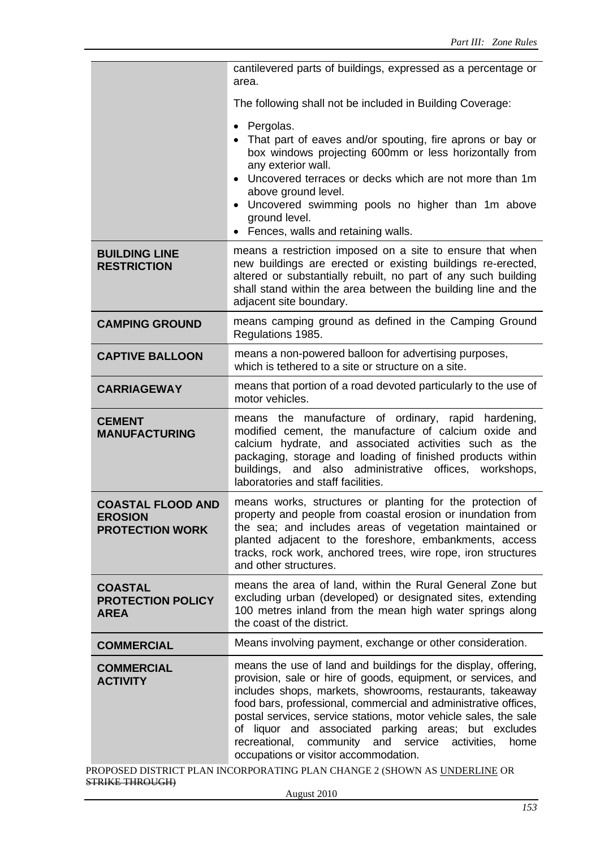|                                                                      | cantilevered parts of buildings, expressed as a percentage or<br>area.                                                                                                                                                                                                                                                                                                                                                                                                                                      |  |  |
|----------------------------------------------------------------------|-------------------------------------------------------------------------------------------------------------------------------------------------------------------------------------------------------------------------------------------------------------------------------------------------------------------------------------------------------------------------------------------------------------------------------------------------------------------------------------------------------------|--|--|
|                                                                      | The following shall not be included in Building Coverage:                                                                                                                                                                                                                                                                                                                                                                                                                                                   |  |  |
|                                                                      | Pergolas.<br>$\bullet$<br>That part of eaves and/or spouting, fire aprons or bay or<br>box windows projecting 600mm or less horizontally from<br>any exterior wall.<br>Uncovered terraces or decks which are not more than 1m<br>above ground level.<br>Uncovered swimming pools no higher than 1m above<br>ground level.<br>• Fences, walls and retaining walls.                                                                                                                                           |  |  |
| <b>BUILDING LINE</b><br><b>RESTRICTION</b>                           | means a restriction imposed on a site to ensure that when<br>new buildings are erected or existing buildings re-erected,<br>altered or substantially rebuilt, no part of any such building<br>shall stand within the area between the building line and the<br>adjacent site boundary.                                                                                                                                                                                                                      |  |  |
| <b>CAMPING GROUND</b>                                                | means camping ground as defined in the Camping Ground<br>Regulations 1985.                                                                                                                                                                                                                                                                                                                                                                                                                                  |  |  |
| <b>CAPTIVE BALLOON</b>                                               | means a non-powered balloon for advertising purposes,<br>which is tethered to a site or structure on a site.                                                                                                                                                                                                                                                                                                                                                                                                |  |  |
| <b>CARRIAGEWAY</b>                                                   | means that portion of a road devoted particularly to the use of<br>motor vehicles.                                                                                                                                                                                                                                                                                                                                                                                                                          |  |  |
| <b>CEMENT</b><br><b>MANUFACTURING</b>                                | means the manufacture of ordinary, rapid hardening,<br>modified cement, the manufacture of calcium oxide and<br>calcium hydrate, and associated activities such as the<br>packaging, storage and loading of finished products within<br>buildings, and<br>also administrative offices, workshops,<br>laboratories and staff facilities.                                                                                                                                                                     |  |  |
| <b>COASTAL FLOOD AND</b><br><b>EROSION</b><br><b>PROTECTION WORK</b> | means works, structures or planting for the protection of<br>property and people from coastal erosion or inundation from<br>the sea; and includes areas of vegetation maintained or<br>planted adjacent to the foreshore, embankments, access<br>tracks, rock work, anchored trees, wire rope, iron structures<br>and other structures.                                                                                                                                                                     |  |  |
| <b>COASTAL</b><br><b>PROTECTION POLICY</b><br><b>AREA</b>            | means the area of land, within the Rural General Zone but<br>excluding urban (developed) or designated sites, extending<br>100 metres inland from the mean high water springs along<br>the coast of the district.                                                                                                                                                                                                                                                                                           |  |  |
| <b>COMMERCIAL</b>                                                    | Means involving payment, exchange or other consideration.                                                                                                                                                                                                                                                                                                                                                                                                                                                   |  |  |
| <b>COMMERCIAL</b><br><b>ACTIVITY</b>                                 | means the use of land and buildings for the display, offering,<br>provision, sale or hire of goods, equipment, or services, and<br>includes shops, markets, showrooms, restaurants, takeaway<br>food bars, professional, commercial and administrative offices,<br>postal services, service stations, motor vehicle sales, the sale<br>of liquor and associated parking areas; but excludes<br>community<br>recreational,<br>and<br>service<br>activities,<br>home<br>occupations or visitor accommodation. |  |  |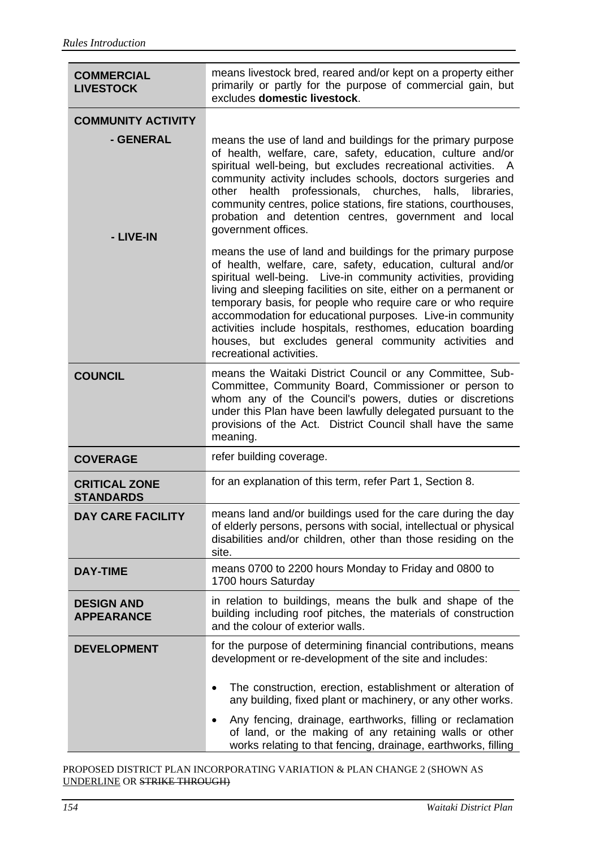| <b>COMMERCIAL</b><br><b>LIVESTOCK</b>    | means livestock bred, reared and/or kept on a property either<br>primarily or partly for the purpose of commercial gain, but<br>excludes domestic livestock.                                                                                                                                                                                                                                                                                                                                                                                     |  |  |
|------------------------------------------|--------------------------------------------------------------------------------------------------------------------------------------------------------------------------------------------------------------------------------------------------------------------------------------------------------------------------------------------------------------------------------------------------------------------------------------------------------------------------------------------------------------------------------------------------|--|--|
| <b>COMMUNITY ACTIVITY</b>                |                                                                                                                                                                                                                                                                                                                                                                                                                                                                                                                                                  |  |  |
| - GENERAL<br>- LIVE-IN                   | means the use of land and buildings for the primary purpose<br>of health, welfare, care, safety, education, culture and/or<br>spiritual well-being, but excludes recreational activities. A<br>community activity includes schools, doctors surgeries and<br>professionals, churches, halls,<br>health<br>other<br>libraries,<br>community centres, police stations, fire stations, courthouses,<br>probation and detention centres, government and local<br>government offices.                                                                 |  |  |
|                                          | means the use of land and buildings for the primary purpose<br>of health, welfare, care, safety, education, cultural and/or<br>spiritual well-being. Live-in community activities, providing<br>living and sleeping facilities on site, either on a permanent or<br>temporary basis, for people who require care or who require<br>accommodation for educational purposes. Live-in community<br>activities include hospitals, resthomes, education boarding<br>houses, but excludes general community activities and<br>recreational activities. |  |  |
| <b>COUNCIL</b>                           | means the Waitaki District Council or any Committee, Sub-<br>Committee, Community Board, Commissioner or person to<br>whom any of the Council's powers, duties or discretions<br>under this Plan have been lawfully delegated pursuant to the<br>provisions of the Act. District Council shall have the same<br>meaning.                                                                                                                                                                                                                         |  |  |
| <b>COVERAGE</b>                          | refer building coverage.                                                                                                                                                                                                                                                                                                                                                                                                                                                                                                                         |  |  |
| <b>CRITICAL ZONE</b><br><b>STANDARDS</b> | for an explanation of this term, refer Part 1, Section 8.                                                                                                                                                                                                                                                                                                                                                                                                                                                                                        |  |  |
| <b>DAY CARE FACILITY</b>                 | means land and/or buildings used for the care during the day<br>of elderly persons, persons with social, intellectual or physical<br>disabilities and/or children, other than those residing on the<br>site.                                                                                                                                                                                                                                                                                                                                     |  |  |
| <b>DAY-TIME</b>                          | means 0700 to 2200 hours Monday to Friday and 0800 to<br>1700 hours Saturday                                                                                                                                                                                                                                                                                                                                                                                                                                                                     |  |  |
| <b>DESIGN AND</b><br><b>APPEARANCE</b>   | in relation to buildings, means the bulk and shape of the<br>building including roof pitches, the materials of construction<br>and the colour of exterior walls.                                                                                                                                                                                                                                                                                                                                                                                 |  |  |
| <b>DEVELOPMENT</b>                       | for the purpose of determining financial contributions, means<br>development or re-development of the site and includes:<br>The construction, erection, establishment or alteration of<br>any building, fixed plant or machinery, or any other works.<br>Any fencing, drainage, earthworks, filling or reclamation<br>of land, or the making of any retaining walls or other<br>works relating to that fencing, drainage, earthworks, filling                                                                                                    |  |  |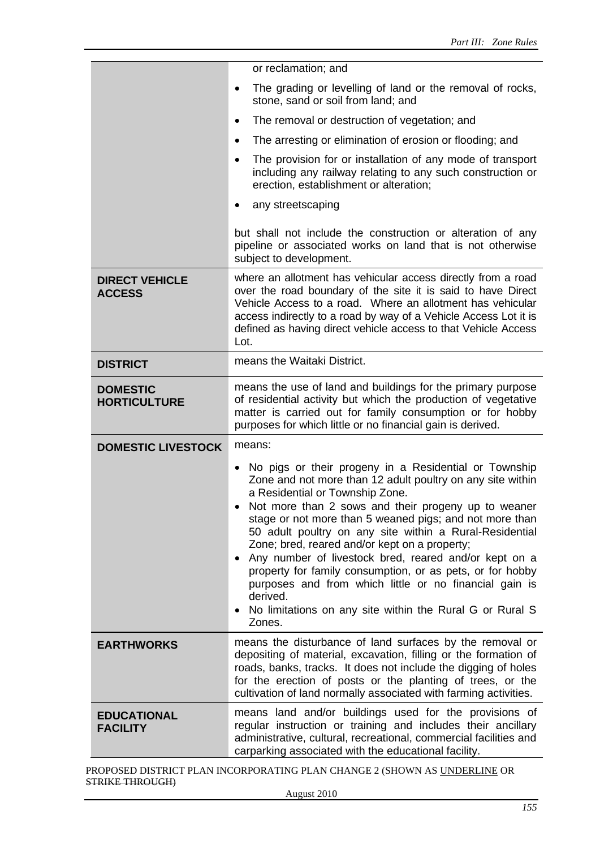|                                        | or reclamation; and                                                                                                                                                                                                                                                                                                                                                                                                                                                                                                                                                                                                                                                              |  |  |  |
|----------------------------------------|----------------------------------------------------------------------------------------------------------------------------------------------------------------------------------------------------------------------------------------------------------------------------------------------------------------------------------------------------------------------------------------------------------------------------------------------------------------------------------------------------------------------------------------------------------------------------------------------------------------------------------------------------------------------------------|--|--|--|
|                                        | The grading or levelling of land or the removal of rocks,<br>٠<br>stone, sand or soil from land; and                                                                                                                                                                                                                                                                                                                                                                                                                                                                                                                                                                             |  |  |  |
|                                        | The removal or destruction of vegetation; and<br>٠                                                                                                                                                                                                                                                                                                                                                                                                                                                                                                                                                                                                                               |  |  |  |
|                                        | The arresting or elimination of erosion or flooding; and<br>٠                                                                                                                                                                                                                                                                                                                                                                                                                                                                                                                                                                                                                    |  |  |  |
|                                        | The provision for or installation of any mode of transport<br>٠<br>including any railway relating to any such construction or<br>erection, establishment or alteration;                                                                                                                                                                                                                                                                                                                                                                                                                                                                                                          |  |  |  |
|                                        | any streetscaping                                                                                                                                                                                                                                                                                                                                                                                                                                                                                                                                                                                                                                                                |  |  |  |
|                                        | but shall not include the construction or alteration of any<br>pipeline or associated works on land that is not otherwise<br>subject to development.                                                                                                                                                                                                                                                                                                                                                                                                                                                                                                                             |  |  |  |
| <b>DIRECT VEHICLE</b><br><b>ACCESS</b> | where an allotment has vehicular access directly from a road<br>over the road boundary of the site it is said to have Direct<br>Vehicle Access to a road. Where an allotment has vehicular<br>access indirectly to a road by way of a Vehicle Access Lot it is<br>defined as having direct vehicle access to that Vehicle Access<br>Lot.                                                                                                                                                                                                                                                                                                                                         |  |  |  |
| <b>DISTRICT</b>                        | means the Waitaki District.                                                                                                                                                                                                                                                                                                                                                                                                                                                                                                                                                                                                                                                      |  |  |  |
| <b>DOMESTIC</b><br><b>HORTICULTURE</b> | means the use of land and buildings for the primary purpose<br>of residential activity but which the production of vegetative<br>matter is carried out for family consumption or for hobby<br>purposes for which little or no financial gain is derived.                                                                                                                                                                                                                                                                                                                                                                                                                         |  |  |  |
| <b>DOMESTIC LIVESTOCK</b>              | means:                                                                                                                                                                                                                                                                                                                                                                                                                                                                                                                                                                                                                                                                           |  |  |  |
|                                        | No pigs or their progeny in a Residential or Township<br>$\bullet$<br>Zone and not more than 12 adult poultry on any site within<br>a Residential or Township Zone.<br>Not more than 2 sows and their progeny up to weaner<br>stage or not more than 5 weaned pigs; and not more than<br>50 adult poultry on any site within a Rural-Residential<br>Zone; bred, reared and/or kept on a property;<br>Any number of livestock bred, reared and/or kept on a<br>$\bullet$<br>property for family consumption, or as pets, or for hobby<br>purposes and from which little or no financial gain is<br>derived.<br>No limitations on any site within the Rural G or Rural S<br>Zones. |  |  |  |
| <b>EARTHWORKS</b>                      | means the disturbance of land surfaces by the removal or<br>depositing of material, excavation, filling or the formation of<br>roads, banks, tracks. It does not include the digging of holes<br>for the erection of posts or the planting of trees, or the<br>cultivation of land normally associated with farming activities.                                                                                                                                                                                                                                                                                                                                                  |  |  |  |
| <b>EDUCATIONAL</b><br><b>FACILITY</b>  | means land and/or buildings used for the provisions of<br>regular instruction or training and includes their ancillary<br>administrative, cultural, recreational, commercial facilities and<br>carparking associated with the educational facility.                                                                                                                                                                                                                                                                                                                                                                                                                              |  |  |  |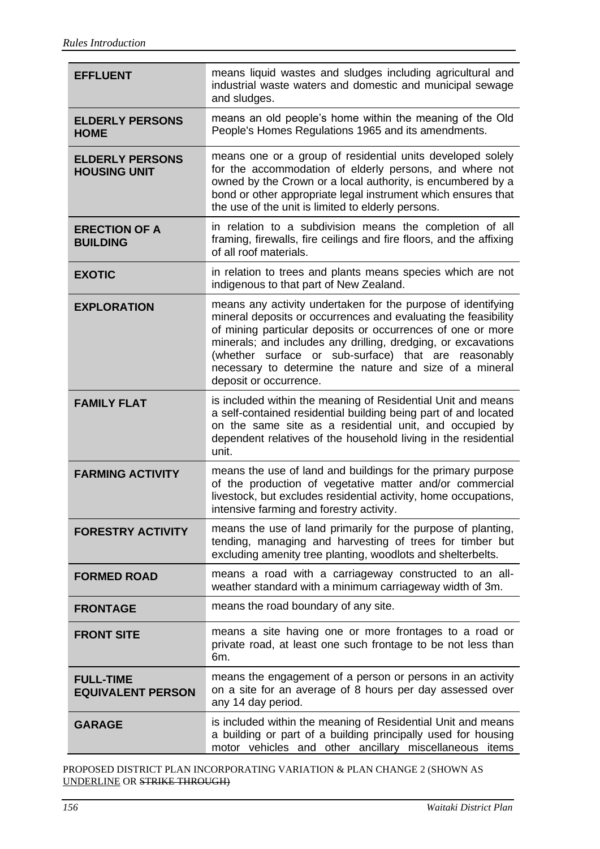| <b>EFFLUENT</b>                               | means liquid wastes and sludges including agricultural and<br>industrial waste waters and domestic and municipal sewage<br>and sludges.                                                                                                                                                                                                                                                                     |  |  |
|-----------------------------------------------|-------------------------------------------------------------------------------------------------------------------------------------------------------------------------------------------------------------------------------------------------------------------------------------------------------------------------------------------------------------------------------------------------------------|--|--|
| <b>ELDERLY PERSONS</b><br><b>HOME</b>         | means an old people's home within the meaning of the Old<br>People's Homes Regulations 1965 and its amendments.                                                                                                                                                                                                                                                                                             |  |  |
| <b>ELDERLY PERSONS</b><br><b>HOUSING UNIT</b> | means one or a group of residential units developed solely<br>for the accommodation of elderly persons, and where not<br>owned by the Crown or a local authority, is encumbered by a<br>bond or other appropriate legal instrument which ensures that<br>the use of the unit is limited to elderly persons.                                                                                                 |  |  |
| <b>ERECTION OF A</b><br><b>BUILDING</b>       | in relation to a subdivision means the completion of all<br>framing, firewalls, fire ceilings and fire floors, and the affixing<br>of all roof materials.                                                                                                                                                                                                                                                   |  |  |
| <b>EXOTIC</b>                                 | in relation to trees and plants means species which are not<br>indigenous to that part of New Zealand.                                                                                                                                                                                                                                                                                                      |  |  |
| <b>EXPLORATION</b>                            | means any activity undertaken for the purpose of identifying<br>mineral deposits or occurrences and evaluating the feasibility<br>of mining particular deposits or occurrences of one or more<br>minerals; and includes any drilling, dredging, or excavations<br>(whether surface or sub-surface) that are reasonably<br>necessary to determine the nature and size of a mineral<br>deposit or occurrence. |  |  |
| <b>FAMILY FLAT</b>                            | is included within the meaning of Residential Unit and means<br>a self-contained residential building being part of and located<br>on the same site as a residential unit, and occupied by<br>dependent relatives of the household living in the residential<br>unit.                                                                                                                                       |  |  |
| <b>FARMING ACTIVITY</b>                       | means the use of land and buildings for the primary purpose<br>of the production of vegetative matter and/or commercial<br>livestock, but excludes residential activity, home occupations,<br>intensive farming and forestry activity.                                                                                                                                                                      |  |  |
| <b>FORESTRY ACTIVITY</b>                      | means the use of land primarily for the purpose of planting,<br>tending, managing and harvesting of trees for timber but<br>excluding amenity tree planting, woodlots and shelterbelts.                                                                                                                                                                                                                     |  |  |
| <b>FORMED ROAD</b>                            | means a road with a carriageway constructed to an all-<br>weather standard with a minimum carriageway width of 3m.                                                                                                                                                                                                                                                                                          |  |  |
| <b>FRONTAGE</b>                               | means the road boundary of any site.                                                                                                                                                                                                                                                                                                                                                                        |  |  |
| <b>FRONT SITE</b>                             | means a site having one or more frontages to a road or<br>private road, at least one such frontage to be not less than<br>6m.                                                                                                                                                                                                                                                                               |  |  |
| <b>FULL-TIME</b><br><b>EQUIVALENT PERSON</b>  | means the engagement of a person or persons in an activity<br>on a site for an average of 8 hours per day assessed over<br>any 14 day period.                                                                                                                                                                                                                                                               |  |  |
| <b>GARAGE</b>                                 | is included within the meaning of Residential Unit and means<br>a building or part of a building principally used for housing<br>motor vehicles and other ancillary miscellaneous items                                                                                                                                                                                                                     |  |  |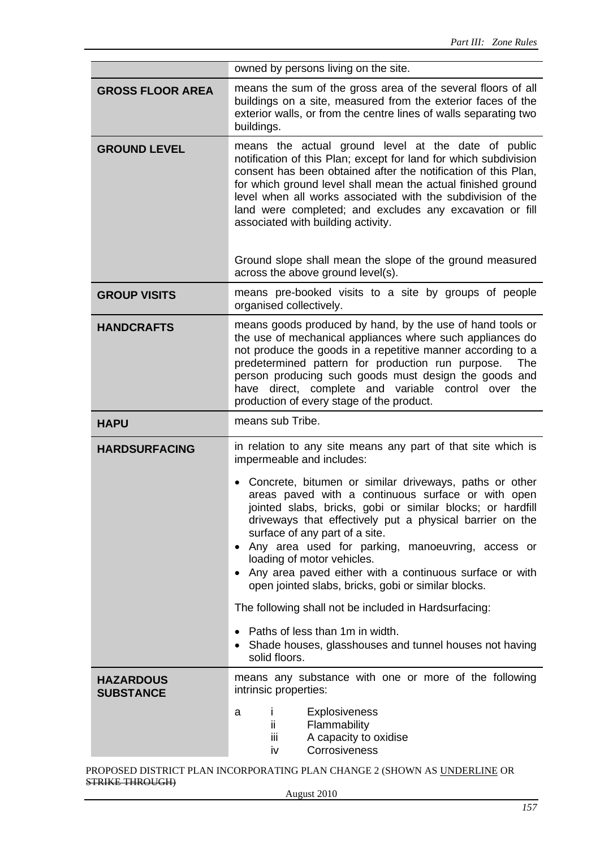|                                      | owned by persons living on the site.                                                                                                                                                                                                                                                                                                                                                                                                                                                                                                                                                                                                                                                                                                                    |  |  |  |
|--------------------------------------|---------------------------------------------------------------------------------------------------------------------------------------------------------------------------------------------------------------------------------------------------------------------------------------------------------------------------------------------------------------------------------------------------------------------------------------------------------------------------------------------------------------------------------------------------------------------------------------------------------------------------------------------------------------------------------------------------------------------------------------------------------|--|--|--|
| <b>GROSS FLOOR AREA</b>              | means the sum of the gross area of the several floors of all<br>buildings on a site, measured from the exterior faces of the<br>exterior walls, or from the centre lines of walls separating two<br>buildings.                                                                                                                                                                                                                                                                                                                                                                                                                                                                                                                                          |  |  |  |
| <b>GROUND LEVEL</b>                  | means the actual ground level at the date of public<br>notification of this Plan; except for land for which subdivision<br>consent has been obtained after the notification of this Plan,<br>for which ground level shall mean the actual finished ground<br>level when all works associated with the subdivision of the<br>land were completed; and excludes any excavation or fill<br>associated with building activity.<br>Ground slope shall mean the slope of the ground measured<br>across the above ground level(s).                                                                                                                                                                                                                             |  |  |  |
| <b>GROUP VISITS</b>                  | means pre-booked visits to a site by groups of people<br>organised collectively.                                                                                                                                                                                                                                                                                                                                                                                                                                                                                                                                                                                                                                                                        |  |  |  |
| <b>HANDCRAFTS</b>                    | means goods produced by hand, by the use of hand tools or<br>the use of mechanical appliances where such appliances do<br>not produce the goods in a repetitive manner according to a<br>predetermined pattern for production run purpose.<br>The<br>person producing such goods must design the goods and<br>have direct, complete and variable control over the<br>production of every stage of the product.                                                                                                                                                                                                                                                                                                                                          |  |  |  |
| <b>HAPU</b>                          | means sub Tribe.                                                                                                                                                                                                                                                                                                                                                                                                                                                                                                                                                                                                                                                                                                                                        |  |  |  |
| <b>HARDSURFACING</b>                 | in relation to any site means any part of that site which is<br>impermeable and includes:<br>Concrete, bitumen or similar driveways, paths or other<br>areas paved with a continuous surface or with open<br>jointed slabs, bricks, gobi or similar blocks; or hardfill<br>driveways that effectively put a physical barrier on the<br>surface of any part of a site.<br>• Any area used for parking, manoeuvring, access or<br>loading of motor vehicles.<br>• Any area paved either with a continuous surface or with<br>open jointed slabs, bricks, gobi or similar blocks.<br>The following shall not be included in Hardsurfacing:<br>Paths of less than 1m in width.<br>• Shade houses, glasshouses and tunnel houses not having<br>solid floors. |  |  |  |
| <b>HAZARDOUS</b><br><b>SUBSTANCE</b> | means any substance with one or more of the following<br>intrinsic properties:<br>Explosiveness<br>L<br>a<br>Flammability<br>ĨĨ.<br>A capacity to oxidise<br>ΪİΙ<br>Corrosiveness<br>iv                                                                                                                                                                                                                                                                                                                                                                                                                                                                                                                                                                 |  |  |  |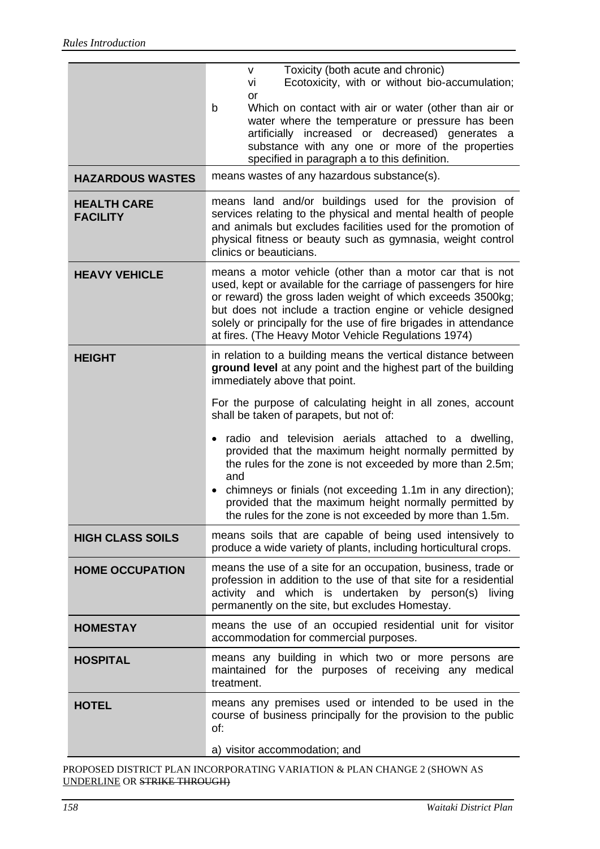|                                       | Toxicity (both acute and chronic)<br>$\vee$<br>Ecotoxicity, with or without bio-accumulation;<br>vi<br>or<br>Which on contact with air or water (other than air or<br>b<br>water where the temperature or pressure has been<br>artificially increased or decreased) generates a<br>substance with any one or more of the properties<br>specified in paragraph a to this definition.<br>means wastes of any hazardous substance(s). |  |  |  |
|---------------------------------------|------------------------------------------------------------------------------------------------------------------------------------------------------------------------------------------------------------------------------------------------------------------------------------------------------------------------------------------------------------------------------------------------------------------------------------|--|--|--|
| <b>HAZARDOUS WASTES</b>               |                                                                                                                                                                                                                                                                                                                                                                                                                                    |  |  |  |
| <b>HEALTH CARE</b><br><b>FACILITY</b> | means land and/or buildings used for the provision of<br>services relating to the physical and mental health of people<br>and animals but excludes facilities used for the promotion of<br>physical fitness or beauty such as gymnasia, weight control<br>clinics or beauticians.                                                                                                                                                  |  |  |  |
| <b>HEAVY VEHICLE</b>                  | means a motor vehicle (other than a motor car that is not<br>used, kept or available for the carriage of passengers for hire<br>or reward) the gross laden weight of which exceeds 3500kg;<br>but does not include a traction engine or vehicle designed<br>solely or principally for the use of fire brigades in attendance<br>at fires. (The Heavy Motor Vehicle Regulations 1974)                                               |  |  |  |
| <b>HEIGHT</b>                         | in relation to a building means the vertical distance between<br>ground level at any point and the highest part of the building<br>immediately above that point.                                                                                                                                                                                                                                                                   |  |  |  |
|                                       | For the purpose of calculating height in all zones, account<br>shall be taken of parapets, but not of:                                                                                                                                                                                                                                                                                                                             |  |  |  |
|                                       | radio and television aerials attached to a dwelling,<br>$\bullet$<br>provided that the maximum height normally permitted by<br>the rules for the zone is not exceeded by more than 2.5m;<br>and                                                                                                                                                                                                                                    |  |  |  |
|                                       | chimneys or finials (not exceeding 1.1m in any direction);<br>provided that the maximum height normally permitted by<br>the rules for the zone is not exceeded by more than 1.5m.                                                                                                                                                                                                                                                  |  |  |  |
| <b>HIGH CLASS SOILS</b>               | means soils that are capable of being used intensively to<br>produce a wide variety of plants, including horticultural crops.                                                                                                                                                                                                                                                                                                      |  |  |  |
| <b>HOME OCCUPATION</b>                | means the use of a site for an occupation, business, trade or<br>profession in addition to the use of that site for a residential<br>activity and which is undertaken by person(s)<br>living<br>permanently on the site, but excludes Homestay.                                                                                                                                                                                    |  |  |  |
| <b>HOMESTAY</b>                       | means the use of an occupied residential unit for visitor<br>accommodation for commercial purposes.                                                                                                                                                                                                                                                                                                                                |  |  |  |
| <b>HOSPITAL</b>                       | means any building in which two or more persons are<br>maintained for the purposes of receiving any medical<br>treatment.                                                                                                                                                                                                                                                                                                          |  |  |  |
| <b>HOTEL</b>                          | means any premises used or intended to be used in the<br>course of business principally for the provision to the public<br>of:                                                                                                                                                                                                                                                                                                     |  |  |  |
|                                       | a) visitor accommodation; and                                                                                                                                                                                                                                                                                                                                                                                                      |  |  |  |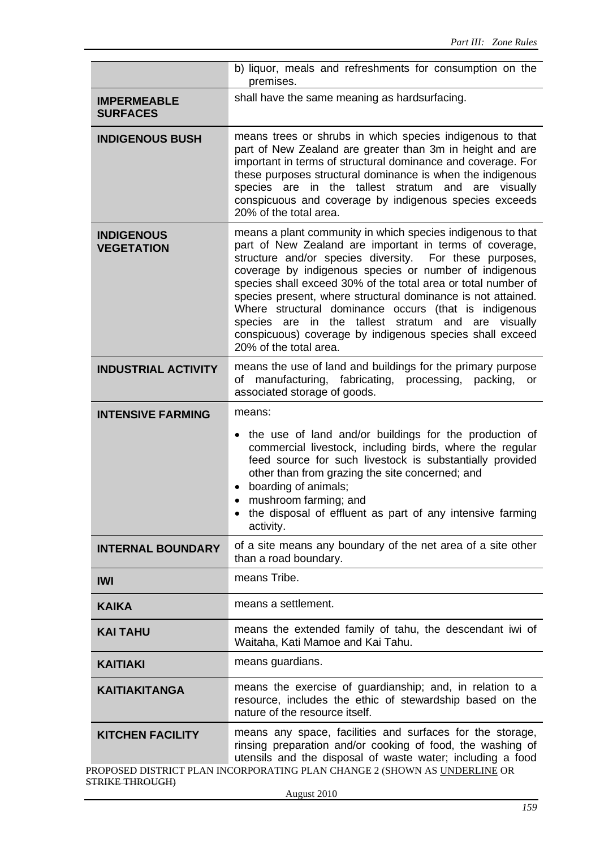|                                        | b) liquor, meals and refreshments for consumption on the<br>premises.                                                                                                                                                                                                                                                                                                                                                                                                                                                                                                              |  |  |
|----------------------------------------|------------------------------------------------------------------------------------------------------------------------------------------------------------------------------------------------------------------------------------------------------------------------------------------------------------------------------------------------------------------------------------------------------------------------------------------------------------------------------------------------------------------------------------------------------------------------------------|--|--|
| <b>IMPERMEABLE</b><br><b>SURFACES</b>  | shall have the same meaning as hardsurfacing.                                                                                                                                                                                                                                                                                                                                                                                                                                                                                                                                      |  |  |
| <b>INDIGENOUS BUSH</b>                 | means trees or shrubs in which species indigenous to that<br>part of New Zealand are greater than 3m in height and are<br>important in terms of structural dominance and coverage. For<br>these purposes structural dominance is when the indigenous<br>species are in the tallest stratum and are visually<br>conspicuous and coverage by indigenous species exceeds<br>20% of the total area.                                                                                                                                                                                    |  |  |
| <b>INDIGENOUS</b><br><b>VEGETATION</b> | means a plant community in which species indigenous to that<br>part of New Zealand are important in terms of coverage,<br>structure and/or species diversity. For these purposes,<br>coverage by indigenous species or number of indigenous<br>species shall exceed 30% of the total area or total number of<br>species present, where structural dominance is not attained.<br>Where structural dominance occurs (that is indigenous<br>species are in the tallest stratum and are visually<br>conspicuous) coverage by indigenous species shall exceed<br>20% of the total area. |  |  |
| <b>INDUSTRIAL ACTIVITY</b>             | means the use of land and buildings for the primary purpose<br>of manufacturing, fabricating, processing, packing, or<br>associated storage of goods.                                                                                                                                                                                                                                                                                                                                                                                                                              |  |  |
| <b>INTENSIVE FARMING</b>               | means:                                                                                                                                                                                                                                                                                                                                                                                                                                                                                                                                                                             |  |  |
|                                        | • the use of land and/or buildings for the production of<br>commercial livestock, including birds, where the regular<br>feed source for such livestock is substantially provided<br>other than from grazing the site concerned; and<br>boarding of animals;<br>mushroom farming; and<br>the disposal of effluent as part of any intensive farming<br>activity.                                                                                                                                                                                                                     |  |  |
| <b>INTERNAL BOUNDARY</b>               | of a site means any boundary of the net area of a site other<br>than a road boundary.                                                                                                                                                                                                                                                                                                                                                                                                                                                                                              |  |  |
| <b>IWI</b>                             | means Tribe.                                                                                                                                                                                                                                                                                                                                                                                                                                                                                                                                                                       |  |  |
| <b>KAIKA</b>                           | means a settlement.                                                                                                                                                                                                                                                                                                                                                                                                                                                                                                                                                                |  |  |
| <b>KAI TAHU</b>                        | means the extended family of tahu, the descendant iwi of<br>Waitaha, Kati Mamoe and Kai Tahu.                                                                                                                                                                                                                                                                                                                                                                                                                                                                                      |  |  |
| <b>KAITIAKI</b>                        | means guardians.                                                                                                                                                                                                                                                                                                                                                                                                                                                                                                                                                                   |  |  |
| <b>KAITIAKITANGA</b>                   | means the exercise of guardianship; and, in relation to a<br>resource, includes the ethic of stewardship based on the<br>nature of the resource itself.                                                                                                                                                                                                                                                                                                                                                                                                                            |  |  |
| <b>KITCHEN FACILITY</b>                | means any space, facilities and surfaces for the storage,<br>rinsing preparation and/or cooking of food, the washing of<br>utensils and the disposal of waste water; including a food                                                                                                                                                                                                                                                                                                                                                                                              |  |  |
| <b>STRIKE THROUGH)</b>                 | PROPOSED DISTRICT PLAN INCORPORATING PLAN CHANGE 2 (SHOWN AS <u>UNDERLINE</u> OR                                                                                                                                                                                                                                                                                                                                                                                                                                                                                                   |  |  |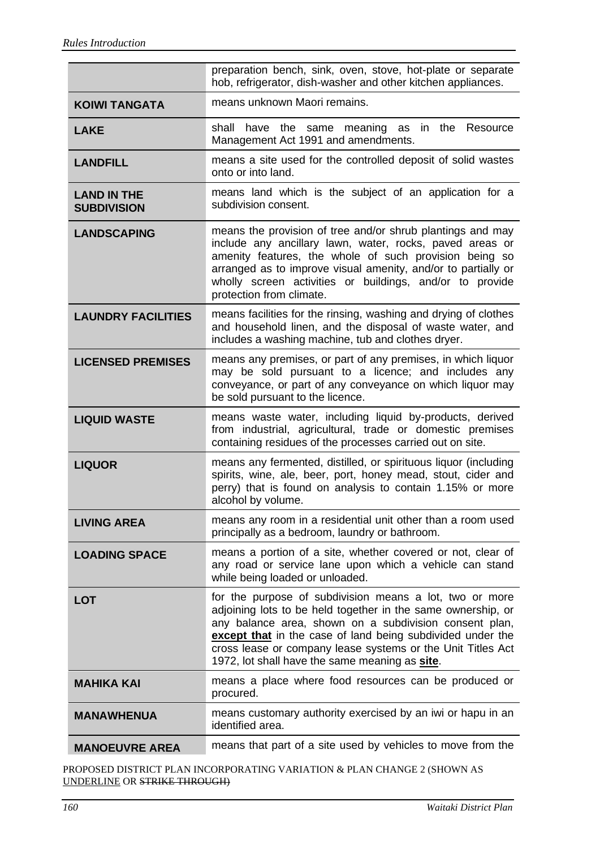|                                          | preparation bench, sink, oven, stove, hot-plate or separate<br>hob, refrigerator, dish-washer and other kitchen appliances.                                                                                                                                                                                                                                      |  |  |  |
|------------------------------------------|------------------------------------------------------------------------------------------------------------------------------------------------------------------------------------------------------------------------------------------------------------------------------------------------------------------------------------------------------------------|--|--|--|
| <b>KOIWI TANGATA</b>                     | means unknown Maori remains.                                                                                                                                                                                                                                                                                                                                     |  |  |  |
| <b>LAKE</b>                              | shall have the same meaning as in the Resource<br>Management Act 1991 and amendments.                                                                                                                                                                                                                                                                            |  |  |  |
| <b>LANDFILL</b>                          | means a site used for the controlled deposit of solid wastes<br>onto or into land.                                                                                                                                                                                                                                                                               |  |  |  |
| <b>LAND IN THE</b><br><b>SUBDIVISION</b> | means land which is the subject of an application for a<br>subdivision consent.                                                                                                                                                                                                                                                                                  |  |  |  |
| <b>LANDSCAPING</b>                       | means the provision of tree and/or shrub plantings and may<br>include any ancillary lawn, water, rocks, paved areas or<br>amenity features, the whole of such provision being so<br>arranged as to improve visual amenity, and/or to partially or<br>wholly screen activities or buildings, and/or to provide<br>protection from climate.                        |  |  |  |
| <b>LAUNDRY FACILITIES</b>                | means facilities for the rinsing, washing and drying of clothes<br>and household linen, and the disposal of waste water, and<br>includes a washing machine, tub and clothes dryer.                                                                                                                                                                               |  |  |  |
| <b>LICENSED PREMISES</b>                 | means any premises, or part of any premises, in which liquor<br>may be sold pursuant to a licence; and includes any<br>conveyance, or part of any conveyance on which liquor may<br>be sold pursuant to the licence.                                                                                                                                             |  |  |  |
| <b>LIQUID WASTE</b>                      | means waste water, including liquid by-products, derived<br>from industrial, agricultural, trade or domestic premises<br>containing residues of the processes carried out on site.                                                                                                                                                                               |  |  |  |
| <b>LIQUOR</b>                            | means any fermented, distilled, or spirituous liquor (including<br>spirits, wine, ale, beer, port, honey mead, stout, cider and<br>perry) that is found on analysis to contain 1.15% or more<br>alcohol by volume.                                                                                                                                               |  |  |  |
| <b>LIVING AREA</b>                       | means any room in a residential unit other than a room used<br>principally as a bedroom, laundry or bathroom.                                                                                                                                                                                                                                                    |  |  |  |
| <b>LOADING SPACE</b>                     | means a portion of a site, whether covered or not, clear of<br>any road or service lane upon which a vehicle can stand<br>while being loaded or unloaded.                                                                                                                                                                                                        |  |  |  |
| <b>LOT</b>                               | for the purpose of subdivision means a lot, two or more<br>adjoining lots to be held together in the same ownership, or<br>any balance area, shown on a subdivision consent plan,<br>except that in the case of land being subdivided under the<br>cross lease or company lease systems or the Unit Titles Act<br>1972, lot shall have the same meaning as site. |  |  |  |
|                                          |                                                                                                                                                                                                                                                                                                                                                                  |  |  |  |
| <b>MAHIKA KAI</b>                        | means a place where food resources can be produced or<br>procured.                                                                                                                                                                                                                                                                                               |  |  |  |
| <b>MANAWHENUA</b>                        | means customary authority exercised by an iwi or hapu in an<br>identified area.                                                                                                                                                                                                                                                                                  |  |  |  |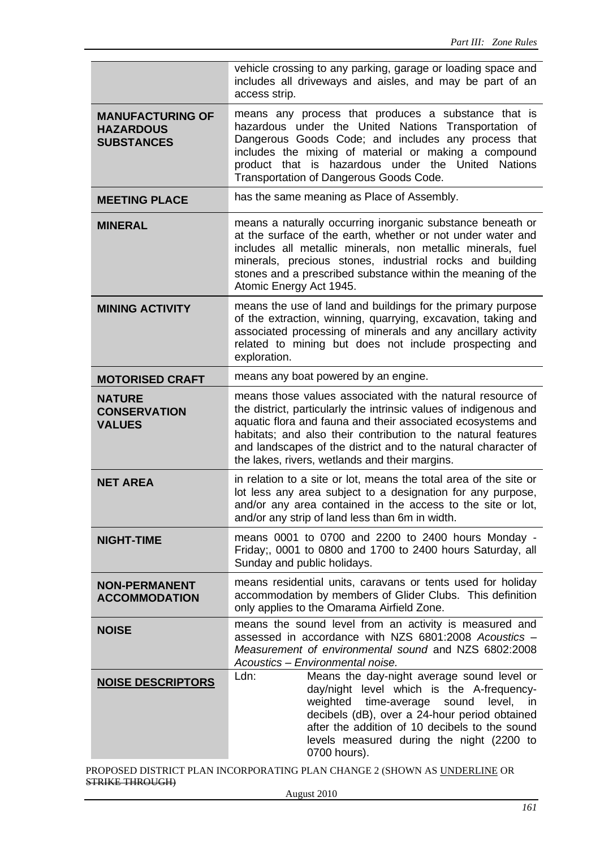|                                                                  | vehicle crossing to any parking, garage or loading space and<br>includes all driveways and aisles, and may be part of an<br>access strip.                                                                                                                                                                                                                                           |  |  |  |  |
|------------------------------------------------------------------|-------------------------------------------------------------------------------------------------------------------------------------------------------------------------------------------------------------------------------------------------------------------------------------------------------------------------------------------------------------------------------------|--|--|--|--|
| <b>MANUFACTURING OF</b><br><b>HAZARDOUS</b><br><b>SUBSTANCES</b> | means any process that produces a substance that is<br>hazardous under the United Nations Transportation of<br>Dangerous Goods Code; and includes any process that<br>includes the mixing of material or making a compound<br>product that is hazardous under the United Nations<br>Transportation of Dangerous Goods Code.                                                         |  |  |  |  |
| <b>MEETING PLACE</b>                                             | has the same meaning as Place of Assembly.                                                                                                                                                                                                                                                                                                                                          |  |  |  |  |
| <b>MINERAL</b>                                                   | means a naturally occurring inorganic substance beneath or<br>at the surface of the earth, whether or not under water and<br>includes all metallic minerals, non metallic minerals, fuel<br>minerals, precious stones, industrial rocks and building<br>stones and a prescribed substance within the meaning of the<br>Atomic Energy Act 1945.                                      |  |  |  |  |
| <b>MINING ACTIVITY</b>                                           | means the use of land and buildings for the primary purpose<br>of the extraction, winning, quarrying, excavation, taking and<br>associated processing of minerals and any ancillary activity<br>related to mining but does not include prospecting and<br>exploration.                                                                                                              |  |  |  |  |
| <b>MOTORISED CRAFT</b>                                           | means any boat powered by an engine.                                                                                                                                                                                                                                                                                                                                                |  |  |  |  |
| <b>NATURE</b><br><b>CONSERVATION</b><br><b>VALUES</b>            | means those values associated with the natural resource of<br>the district, particularly the intrinsic values of indigenous and<br>aquatic flora and fauna and their associated ecosystems and<br>habitats; and also their contribution to the natural features<br>and landscapes of the district and to the natural character of<br>the lakes, rivers, wetlands and their margins. |  |  |  |  |
| <b>NET AREA</b>                                                  | in relation to a site or lot, means the total area of the site or<br>lot less any area subject to a designation for any purpose,<br>and/or any area contained in the access to the site or lot,<br>and/or any strip of land less than 6m in width.                                                                                                                                  |  |  |  |  |
| <b>NIGHT-TIME</b>                                                | means 0001 to 0700 and 2200 to 2400 hours Monday -<br>Friday;, 0001 to 0800 and 1700 to 2400 hours Saturday, all<br>Sunday and public holidays.                                                                                                                                                                                                                                     |  |  |  |  |
| <b>NON-PERMANENT</b><br><b>ACCOMMODATION</b>                     | means residential units, caravans or tents used for holiday<br>accommodation by members of Glider Clubs. This definition<br>only applies to the Omarama Airfield Zone.                                                                                                                                                                                                              |  |  |  |  |
| <b>NOISE</b>                                                     | means the sound level from an activity is measured and<br>assessed in accordance with NZS 6801:2008 Acoustics -<br>Measurement of environmental sound and NZS 6802:2008<br>Acoustics - Environmental noise.                                                                                                                                                                         |  |  |  |  |
| <b>NOISE DESCRIPTORS</b>                                         | Ldn:<br>Means the day-night average sound level or<br>day/night level which is the A-frequency-<br>weighted time-average<br>sound<br>level, in<br>decibels (dB), over a 24-hour period obtained<br>after the addition of 10 decibels to the sound<br>levels measured during the night (2200 to<br>0700 hours).                                                                      |  |  |  |  |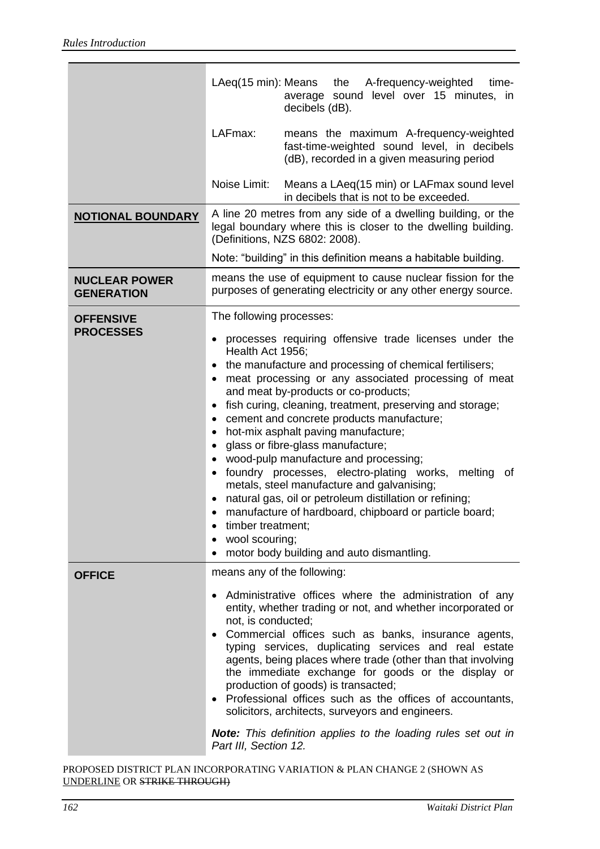|                                           | LAeq(15 min): Means                                                                                                                                                                                                                                                                                                                                                                                                                                                                                                                                                                                                                                                                                                                                                                                                                                                                                                | the<br>A-frequency-weighted<br>time-<br>average sound level over 15 minutes, in<br>decibels (dB).                                                                                                                                                                                                                                                                                                                                                                                                                                                                                                                          |
|-------------------------------------------|--------------------------------------------------------------------------------------------------------------------------------------------------------------------------------------------------------------------------------------------------------------------------------------------------------------------------------------------------------------------------------------------------------------------------------------------------------------------------------------------------------------------------------------------------------------------------------------------------------------------------------------------------------------------------------------------------------------------------------------------------------------------------------------------------------------------------------------------------------------------------------------------------------------------|----------------------------------------------------------------------------------------------------------------------------------------------------------------------------------------------------------------------------------------------------------------------------------------------------------------------------------------------------------------------------------------------------------------------------------------------------------------------------------------------------------------------------------------------------------------------------------------------------------------------------|
|                                           | LAFmax:                                                                                                                                                                                                                                                                                                                                                                                                                                                                                                                                                                                                                                                                                                                                                                                                                                                                                                            | means the maximum A-frequency-weighted<br>fast-time-weighted sound level, in decibels<br>(dB), recorded in a given measuring period                                                                                                                                                                                                                                                                                                                                                                                                                                                                                        |
|                                           | Noise Limit:                                                                                                                                                                                                                                                                                                                                                                                                                                                                                                                                                                                                                                                                                                                                                                                                                                                                                                       | Means a LAeq(15 min) or LAFmax sound level<br>in decibels that is not to be exceeded.                                                                                                                                                                                                                                                                                                                                                                                                                                                                                                                                      |
| <b>NOTIONAL BOUNDARY</b>                  |                                                                                                                                                                                                                                                                                                                                                                                                                                                                                                                                                                                                                                                                                                                                                                                                                                                                                                                    | A line 20 metres from any side of a dwelling building, or the<br>legal boundary where this is closer to the dwelling building.<br>(Definitions, NZS 6802: 2008).                                                                                                                                                                                                                                                                                                                                                                                                                                                           |
|                                           |                                                                                                                                                                                                                                                                                                                                                                                                                                                                                                                                                                                                                                                                                                                                                                                                                                                                                                                    | Note: "building" in this definition means a habitable building.                                                                                                                                                                                                                                                                                                                                                                                                                                                                                                                                                            |
| <b>NUCLEAR POWER</b><br><b>GENERATION</b> | means the use of equipment to cause nuclear fission for the<br>purposes of generating electricity or any other energy source.                                                                                                                                                                                                                                                                                                                                                                                                                                                                                                                                                                                                                                                                                                                                                                                      |                                                                                                                                                                                                                                                                                                                                                                                                                                                                                                                                                                                                                            |
| <b>OFFENSIVE</b><br><b>PROCESSES</b>      | The following processes:<br>processes requiring offensive trade licenses under the<br>Health Act 1956;<br>the manufacture and processing of chemical fertilisers;<br>meat processing or any associated processing of meat<br>$\bullet$<br>and meat by-products or co-products;<br>fish curing, cleaning, treatment, preserving and storage;<br>$\bullet$<br>cement and concrete products manufacture;<br>$\bullet$<br>hot-mix asphalt paving manufacture;<br>٠<br>glass or fibre-glass manufacture;<br>$\bullet$<br>wood-pulp manufacture and processing;<br>$\bullet$<br>foundry processes, electro-plating works, melting<br>of<br>$\bullet$<br>metals, steel manufacture and galvanising;<br>natural gas, oil or petroleum distillation or refining;<br>manufacture of hardboard, chipboard or particle board;<br>$\bullet$<br>timber treatment;<br>wool scouring;<br>motor body building and auto dismantling. |                                                                                                                                                                                                                                                                                                                                                                                                                                                                                                                                                                                                                            |
| <b>OFFICE</b>                             | not, is conducted;<br>Part III, Section 12.                                                                                                                                                                                                                                                                                                                                                                                                                                                                                                                                                                                                                                                                                                                                                                                                                                                                        | means any of the following:<br>Administrative offices where the administration of any<br>entity, whether trading or not, and whether incorporated or<br>• Commercial offices such as banks, insurance agents,<br>typing services, duplicating services and real estate<br>agents, being places where trade (other than that involving<br>the immediate exchange for goods or the display or<br>production of goods) is transacted;<br>Professional offices such as the offices of accountants,<br>solicitors, architects, surveyors and engineers.<br><b>Note:</b> This definition applies to the loading rules set out in |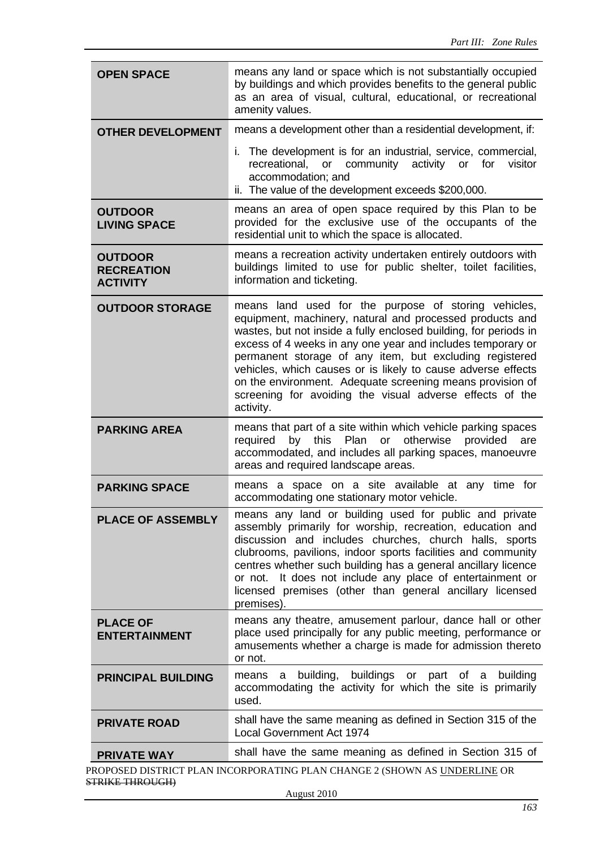| means a development other than a residential development, if:<br><b>OTHER DEVELOPMENT</b><br>i. The development is for an industrial, service, commercial,<br>recreational, or community activity<br>visitor<br>or<br>for<br>accommodation; and<br>ii. The value of the development exceeds \$200,000.<br>means an area of open space required by this Plan to be<br><b>OUTDOOR</b><br>provided for the exclusive use of the occupants of the<br><b>LIVING SPACE</b><br>residential unit to which the space is allocated.<br>means a recreation activity undertaken entirely outdoors with<br><b>OUTDOOR</b><br>buildings limited to use for public shelter, toilet facilities,<br><b>RECREATION</b><br>information and ticketing.<br><b>ACTIVITY</b><br>means land used for the purpose of storing vehicles,<br><b>OUTDOOR STORAGE</b><br>equipment, machinery, natural and processed products and<br>wastes, but not inside a fully enclosed building, for periods in<br>excess of 4 weeks in any one year and includes temporary or<br>permanent storage of any item, but excluding registered<br>vehicles, which causes or is likely to cause adverse effects<br>on the environment. Adequate screening means provision of<br>screening for avoiding the visual adverse effects of the<br>activity.<br>means that part of a site within which vehicle parking spaces<br><b>PARKING AREA</b><br>otherwise<br>by this<br>Plan<br>provided<br>required<br>or<br>are<br>accommodated, and includes all parking spaces, manoeuvre<br>areas and required landscape areas.<br>means a space on a site available at any time for<br><b>PARKING SPACE</b><br>accommodating one stationary motor vehicle.<br>means any land or building used for public and private<br><b>PLACE OF ASSEMBLY</b><br>assembly primarily for worship, recreation, education and<br>discussion and includes churches, church halls, sports<br>clubrooms, pavilions, indoor sports facilities and community<br>centres whether such building has a general ancillary licence<br>It does not include any place of entertainment or<br>or not.<br>licensed premises (other than general ancillary licensed<br>premises).<br>means any theatre, amusement parlour, dance hall or other<br><b>PLACE OF</b><br>place used principally for any public meeting, performance or<br><b>ENTERTAINMENT</b><br>amusements whether a charge is made for admission thereto<br>or not.<br>buildings<br>building,<br>or part of a<br>building<br>means<br>a<br><b>PRINCIPAL BUILDING</b><br>accommodating the activity for which the site is primarily<br>used.<br>shall have the same meaning as defined in Section 315 of the<br><b>PRIVATE ROAD</b><br><b>Local Government Act 1974</b><br>shall have the same meaning as defined in Section 315 of<br><b>PRIVATE WAY</b><br>PROPOSED DISTRICT PLAN INCORPORATING PLAN CHANGE 2 (SHOWN AS UNDERLINE OR | <b>OPEN SPACE</b> | means any land or space which is not substantially occupied<br>by buildings and which provides benefits to the general public<br>as an area of visual, cultural, educational, or recreational<br>amenity values. |  |  |
|----------------------------------------------------------------------------------------------------------------------------------------------------------------------------------------------------------------------------------------------------------------------------------------------------------------------------------------------------------------------------------------------------------------------------------------------------------------------------------------------------------------------------------------------------------------------------------------------------------------------------------------------------------------------------------------------------------------------------------------------------------------------------------------------------------------------------------------------------------------------------------------------------------------------------------------------------------------------------------------------------------------------------------------------------------------------------------------------------------------------------------------------------------------------------------------------------------------------------------------------------------------------------------------------------------------------------------------------------------------------------------------------------------------------------------------------------------------------------------------------------------------------------------------------------------------------------------------------------------------------------------------------------------------------------------------------------------------------------------------------------------------------------------------------------------------------------------------------------------------------------------------------------------------------------------------------------------------------------------------------------------------------------------------------------------------------------------------------------------------------------------------------------------------------------------------------------------------------------------------------------------------------------------------------------------------------------------------------------------------------------------------------------------------------------------------------------------------------------------------------------------------------------------------------------------------------------------------------------------------------------------------------------------------------------------------------------------------------------------------------------------------------------------------------------------------------------------------------------------------------------------------------------------------|-------------------|------------------------------------------------------------------------------------------------------------------------------------------------------------------------------------------------------------------|--|--|
|                                                                                                                                                                                                                                                                                                                                                                                                                                                                                                                                                                                                                                                                                                                                                                                                                                                                                                                                                                                                                                                                                                                                                                                                                                                                                                                                                                                                                                                                                                                                                                                                                                                                                                                                                                                                                                                                                                                                                                                                                                                                                                                                                                                                                                                                                                                                                                                                                                                                                                                                                                                                                                                                                                                                                                                                                                                                                                                |                   |                                                                                                                                                                                                                  |  |  |
|                                                                                                                                                                                                                                                                                                                                                                                                                                                                                                                                                                                                                                                                                                                                                                                                                                                                                                                                                                                                                                                                                                                                                                                                                                                                                                                                                                                                                                                                                                                                                                                                                                                                                                                                                                                                                                                                                                                                                                                                                                                                                                                                                                                                                                                                                                                                                                                                                                                                                                                                                                                                                                                                                                                                                                                                                                                                                                                |                   |                                                                                                                                                                                                                  |  |  |
|                                                                                                                                                                                                                                                                                                                                                                                                                                                                                                                                                                                                                                                                                                                                                                                                                                                                                                                                                                                                                                                                                                                                                                                                                                                                                                                                                                                                                                                                                                                                                                                                                                                                                                                                                                                                                                                                                                                                                                                                                                                                                                                                                                                                                                                                                                                                                                                                                                                                                                                                                                                                                                                                                                                                                                                                                                                                                                                |                   |                                                                                                                                                                                                                  |  |  |
|                                                                                                                                                                                                                                                                                                                                                                                                                                                                                                                                                                                                                                                                                                                                                                                                                                                                                                                                                                                                                                                                                                                                                                                                                                                                                                                                                                                                                                                                                                                                                                                                                                                                                                                                                                                                                                                                                                                                                                                                                                                                                                                                                                                                                                                                                                                                                                                                                                                                                                                                                                                                                                                                                                                                                                                                                                                                                                                |                   |                                                                                                                                                                                                                  |  |  |
|                                                                                                                                                                                                                                                                                                                                                                                                                                                                                                                                                                                                                                                                                                                                                                                                                                                                                                                                                                                                                                                                                                                                                                                                                                                                                                                                                                                                                                                                                                                                                                                                                                                                                                                                                                                                                                                                                                                                                                                                                                                                                                                                                                                                                                                                                                                                                                                                                                                                                                                                                                                                                                                                                                                                                                                                                                                                                                                |                   |                                                                                                                                                                                                                  |  |  |
|                                                                                                                                                                                                                                                                                                                                                                                                                                                                                                                                                                                                                                                                                                                                                                                                                                                                                                                                                                                                                                                                                                                                                                                                                                                                                                                                                                                                                                                                                                                                                                                                                                                                                                                                                                                                                                                                                                                                                                                                                                                                                                                                                                                                                                                                                                                                                                                                                                                                                                                                                                                                                                                                                                                                                                                                                                                                                                                |                   |                                                                                                                                                                                                                  |  |  |
|                                                                                                                                                                                                                                                                                                                                                                                                                                                                                                                                                                                                                                                                                                                                                                                                                                                                                                                                                                                                                                                                                                                                                                                                                                                                                                                                                                                                                                                                                                                                                                                                                                                                                                                                                                                                                                                                                                                                                                                                                                                                                                                                                                                                                                                                                                                                                                                                                                                                                                                                                                                                                                                                                                                                                                                                                                                                                                                |                   |                                                                                                                                                                                                                  |  |  |
|                                                                                                                                                                                                                                                                                                                                                                                                                                                                                                                                                                                                                                                                                                                                                                                                                                                                                                                                                                                                                                                                                                                                                                                                                                                                                                                                                                                                                                                                                                                                                                                                                                                                                                                                                                                                                                                                                                                                                                                                                                                                                                                                                                                                                                                                                                                                                                                                                                                                                                                                                                                                                                                                                                                                                                                                                                                                                                                |                   |                                                                                                                                                                                                                  |  |  |
|                                                                                                                                                                                                                                                                                                                                                                                                                                                                                                                                                                                                                                                                                                                                                                                                                                                                                                                                                                                                                                                                                                                                                                                                                                                                                                                                                                                                                                                                                                                                                                                                                                                                                                                                                                                                                                                                                                                                                                                                                                                                                                                                                                                                                                                                                                                                                                                                                                                                                                                                                                                                                                                                                                                                                                                                                                                                                                                |                   |                                                                                                                                                                                                                  |  |  |
|                                                                                                                                                                                                                                                                                                                                                                                                                                                                                                                                                                                                                                                                                                                                                                                                                                                                                                                                                                                                                                                                                                                                                                                                                                                                                                                                                                                                                                                                                                                                                                                                                                                                                                                                                                                                                                                                                                                                                                                                                                                                                                                                                                                                                                                                                                                                                                                                                                                                                                                                                                                                                                                                                                                                                                                                                                                                                                                |                   |                                                                                                                                                                                                                  |  |  |
|                                                                                                                                                                                                                                                                                                                                                                                                                                                                                                                                                                                                                                                                                                                                                                                                                                                                                                                                                                                                                                                                                                                                                                                                                                                                                                                                                                                                                                                                                                                                                                                                                                                                                                                                                                                                                                                                                                                                                                                                                                                                                                                                                                                                                                                                                                                                                                                                                                                                                                                                                                                                                                                                                                                                                                                                                                                                                                                |                   |                                                                                                                                                                                                                  |  |  |
|                                                                                                                                                                                                                                                                                                                                                                                                                                                                                                                                                                                                                                                                                                                                                                                                                                                                                                                                                                                                                                                                                                                                                                                                                                                                                                                                                                                                                                                                                                                                                                                                                                                                                                                                                                                                                                                                                                                                                                                                                                                                                                                                                                                                                                                                                                                                                                                                                                                                                                                                                                                                                                                                                                                                                                                                                                                                                                                |                   |                                                                                                                                                                                                                  |  |  |
| <b>STRIKE THROUGH)</b>                                                                                                                                                                                                                                                                                                                                                                                                                                                                                                                                                                                                                                                                                                                                                                                                                                                                                                                                                                                                                                                                                                                                                                                                                                                                                                                                                                                                                                                                                                                                                                                                                                                                                                                                                                                                                                                                                                                                                                                                                                                                                                                                                                                                                                                                                                                                                                                                                                                                                                                                                                                                                                                                                                                                                                                                                                                                                         |                   |                                                                                                                                                                                                                  |  |  |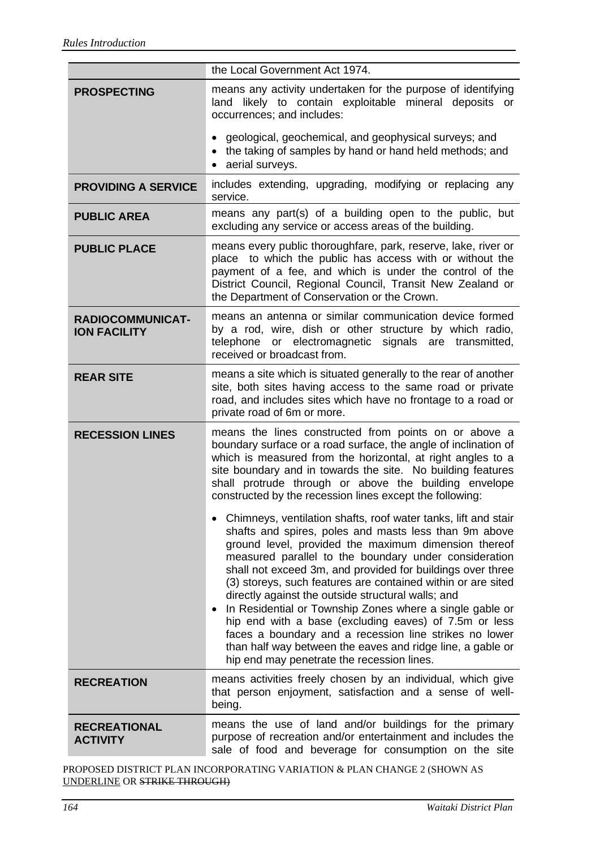|                                                | the Local Government Act 1974.                                                                                                                                                                                                                                                                                                                                                                                                                                                                                                                                                                                                                                                                                            |  |  |
|------------------------------------------------|---------------------------------------------------------------------------------------------------------------------------------------------------------------------------------------------------------------------------------------------------------------------------------------------------------------------------------------------------------------------------------------------------------------------------------------------------------------------------------------------------------------------------------------------------------------------------------------------------------------------------------------------------------------------------------------------------------------------------|--|--|
| <b>PROSPECTING</b>                             | means any activity undertaken for the purpose of identifying<br>land likely to contain exploitable mineral deposits or<br>occurrences; and includes:                                                                                                                                                                                                                                                                                                                                                                                                                                                                                                                                                                      |  |  |
|                                                | geological, geochemical, and geophysical surveys; and<br>the taking of samples by hand or hand held methods; and<br>aerial surveys.                                                                                                                                                                                                                                                                                                                                                                                                                                                                                                                                                                                       |  |  |
| <b>PROVIDING A SERVICE</b>                     | includes extending, upgrading, modifying or replacing any<br>service.                                                                                                                                                                                                                                                                                                                                                                                                                                                                                                                                                                                                                                                     |  |  |
| <b>PUBLIC AREA</b>                             | means any part(s) of a building open to the public, but<br>excluding any service or access areas of the building.                                                                                                                                                                                                                                                                                                                                                                                                                                                                                                                                                                                                         |  |  |
| <b>PUBLIC PLACE</b>                            | means every public thoroughfare, park, reserve, lake, river or<br>place to which the public has access with or without the<br>payment of a fee, and which is under the control of the<br>District Council, Regional Council, Transit New Zealand or<br>the Department of Conservation or the Crown.                                                                                                                                                                                                                                                                                                                                                                                                                       |  |  |
| <b>RADIOCOMMUNICAT-</b><br><b>ION FACILITY</b> | means an antenna or similar communication device formed<br>by a rod, wire, dish or other structure by which radio,<br>telephone or electromagnetic signals are transmitted,<br>received or broadcast from.                                                                                                                                                                                                                                                                                                                                                                                                                                                                                                                |  |  |
| <b>REAR SITE</b>                               | means a site which is situated generally to the rear of another<br>site, both sites having access to the same road or private<br>road, and includes sites which have no frontage to a road or<br>private road of 6m or more.                                                                                                                                                                                                                                                                                                                                                                                                                                                                                              |  |  |
| <b>RECESSION LINES</b>                         | means the lines constructed from points on or above a<br>boundary surface or a road surface, the angle of inclination of<br>which is measured from the horizontal, at right angles to a<br>site boundary and in towards the site. No building features<br>shall protrude through or above the building envelope<br>constructed by the recession lines except the following:                                                                                                                                                                                                                                                                                                                                               |  |  |
|                                                | • Chimneys, ventilation shafts, roof water tanks, lift and stair<br>shafts and spires, poles and masts less than 9m above<br>ground level, provided the maximum dimension thereof<br>measured parallel to the boundary under consideration<br>shall not exceed 3m, and provided for buildings over three<br>(3) storeys, such features are contained within or are sited<br>directly against the outside structural walls; and<br>In Residential or Township Zones where a single gable or<br>hip end with a base (excluding eaves) of 7.5m or less<br>faces a boundary and a recession line strikes no lower<br>than half way between the eaves and ridge line, a gable or<br>hip end may penetrate the recession lines. |  |  |
| <b>RECREATION</b>                              | means activities freely chosen by an individual, which give<br>that person enjoyment, satisfaction and a sense of well-<br>being.                                                                                                                                                                                                                                                                                                                                                                                                                                                                                                                                                                                         |  |  |
| <b>RECREATIONAL</b><br><b>ACTIVITY</b>         | means the use of land and/or buildings for the primary<br>purpose of recreation and/or entertainment and includes the<br>sale of food and beverage for consumption on the site                                                                                                                                                                                                                                                                                                                                                                                                                                                                                                                                            |  |  |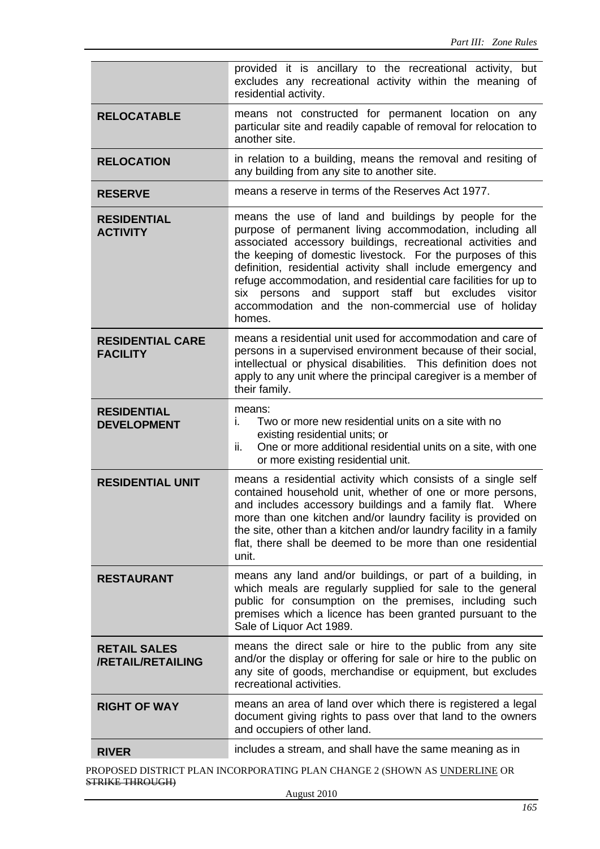|                                            | provided it is ancillary to the recreational activity, but<br>excludes any recreational activity within the meaning of<br>residential activity.                                                                                                                                                                                                                                                                                                                                                              |  |
|--------------------------------------------|--------------------------------------------------------------------------------------------------------------------------------------------------------------------------------------------------------------------------------------------------------------------------------------------------------------------------------------------------------------------------------------------------------------------------------------------------------------------------------------------------------------|--|
| <b>RELOCATABLE</b>                         | means not constructed for permanent location on any<br>particular site and readily capable of removal for relocation to<br>another site.                                                                                                                                                                                                                                                                                                                                                                     |  |
| <b>RELOCATION</b>                          | in relation to a building, means the removal and resiting of<br>any building from any site to another site.                                                                                                                                                                                                                                                                                                                                                                                                  |  |
| <b>RESERVE</b>                             | means a reserve in terms of the Reserves Act 1977.                                                                                                                                                                                                                                                                                                                                                                                                                                                           |  |
| <b>RESIDENTIAL</b><br><b>ACTIVITY</b>      | means the use of land and buildings by people for the<br>purpose of permanent living accommodation, including all<br>associated accessory buildings, recreational activities and<br>the keeping of domestic livestock. For the purposes of this<br>definition, residential activity shall include emergency and<br>refuge accommodation, and residential care facilities for up to<br>six persons and support staff but excludes<br>visitor<br>accommodation and the non-commercial use of holiday<br>homes. |  |
| <b>RESIDENTIAL CARE</b><br><b>FACILITY</b> | means a residential unit used for accommodation and care of<br>persons in a supervised environment because of their social,<br>intellectual or physical disabilities. This definition does not<br>apply to any unit where the principal caregiver is a member of<br>their family.                                                                                                                                                                                                                            |  |
| <b>RESIDENTIAL</b><br><b>DEVELOPMENT</b>   | means:<br>Two or more new residential units on a site with no<br>i.<br>existing residential units; or<br>One or more additional residential units on a site, with one<br>ii.<br>or more existing residential unit.                                                                                                                                                                                                                                                                                           |  |
| <b>RESIDENTIAL UNIT</b>                    | means a residential activity which consists of a single self<br>contained household unit, whether of one or more persons,<br>and includes accessory buildings and a family flat. Where<br>more than one kitchen and/or laundry facility is provided on<br>the site, other than a kitchen and/or laundry facility in a family<br>flat, there shall be deemed to be more than one residential<br>unit.                                                                                                         |  |
| <b>RESTAURANT</b>                          | means any land and/or buildings, or part of a building, in<br>which meals are regularly supplied for sale to the general<br>public for consumption on the premises, including such<br>premises which a licence has been granted pursuant to the<br>Sale of Liquor Act 1989.                                                                                                                                                                                                                                  |  |
| <b>RETAIL SALES</b><br>/RETAIL/RETAILING   | means the direct sale or hire to the public from any site<br>and/or the display or offering for sale or hire to the public on<br>any site of goods, merchandise or equipment, but excludes<br>recreational activities.                                                                                                                                                                                                                                                                                       |  |
| <b>RIGHT OF WAY</b>                        | means an area of land over which there is registered a legal<br>document giving rights to pass over that land to the owners<br>and occupiers of other land.                                                                                                                                                                                                                                                                                                                                                  |  |
| <b>RIVER</b>                               | includes a stream, and shall have the same meaning as in                                                                                                                                                                                                                                                                                                                                                                                                                                                     |  |
|                                            | ROPOSED DISTRICT PLAN INCORPORATING PLAN CHANGE 2 (SHOWN AS UNDERLINE OR                                                                                                                                                                                                                                                                                                                                                                                                                                     |  |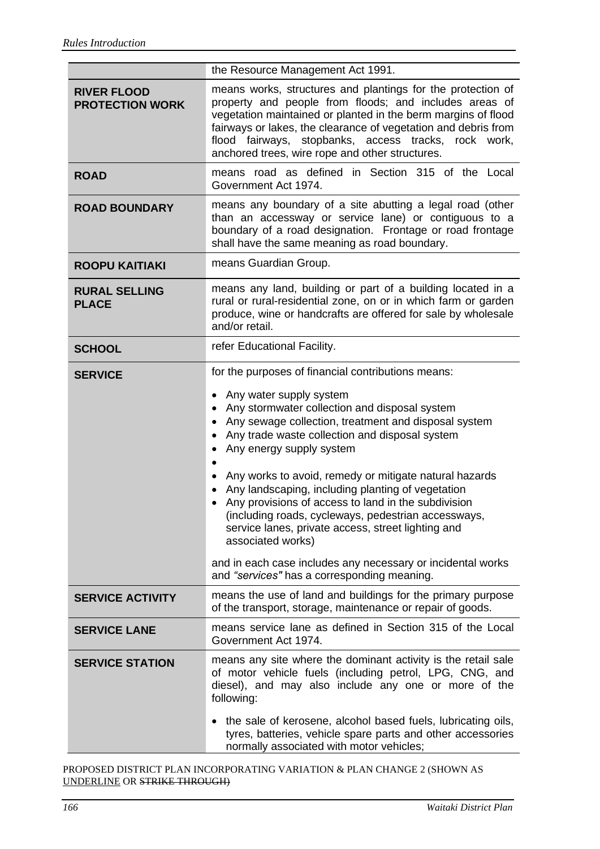|                                              | the Resource Management Act 1991.                                                                                                                                                                                                                                                                                                                                                                                                                                                                                                                                                                                                                                                               |  |
|----------------------------------------------|-------------------------------------------------------------------------------------------------------------------------------------------------------------------------------------------------------------------------------------------------------------------------------------------------------------------------------------------------------------------------------------------------------------------------------------------------------------------------------------------------------------------------------------------------------------------------------------------------------------------------------------------------------------------------------------------------|--|
| <b>RIVER FLOOD</b><br><b>PROTECTION WORK</b> | means works, structures and plantings for the protection of<br>property and people from floods; and includes areas of<br>vegetation maintained or planted in the berm margins of flood<br>fairways or lakes, the clearance of vegetation and debris from<br>flood fairways, stopbanks, access tracks, rock work,<br>anchored trees, wire rope and other structures.                                                                                                                                                                                                                                                                                                                             |  |
| <b>ROAD</b>                                  | means road as defined in Section 315 of the Local<br>Government Act 1974.                                                                                                                                                                                                                                                                                                                                                                                                                                                                                                                                                                                                                       |  |
| <b>ROAD BOUNDARY</b>                         | means any boundary of a site abutting a legal road (other<br>than an accessway or service lane) or contiguous to a<br>boundary of a road designation. Frontage or road frontage<br>shall have the same meaning as road boundary.                                                                                                                                                                                                                                                                                                                                                                                                                                                                |  |
| <b>ROOPU KAITIAKI</b>                        | means Guardian Group.                                                                                                                                                                                                                                                                                                                                                                                                                                                                                                                                                                                                                                                                           |  |
| <b>RURAL SELLING</b><br><b>PLACE</b>         | means any land, building or part of a building located in a<br>rural or rural-residential zone, on or in which farm or garden<br>produce, wine or handcrafts are offered for sale by wholesale<br>and/or retail.                                                                                                                                                                                                                                                                                                                                                                                                                                                                                |  |
| <b>SCHOOL</b>                                | refer Educational Facility.                                                                                                                                                                                                                                                                                                                                                                                                                                                                                                                                                                                                                                                                     |  |
| <b>SERVICE</b>                               | for the purposes of financial contributions means:<br>Any water supply system<br>٠<br>Any stormwater collection and disposal system<br>Any sewage collection, treatment and disposal system<br>Any trade waste collection and disposal system<br>Any energy supply system<br>Any works to avoid, remedy or mitigate natural hazards<br>Any landscaping, including planting of vegetation<br>Any provisions of access to land in the subdivision<br>(including roads, cycleways, pedestrian accessways,<br>service lanes, private access, street lighting and<br>associated works)<br>and in each case includes any necessary or incidental works<br>and "services" has a corresponding meaning. |  |
| <b>SERVICE ACTIVITY</b>                      | means the use of land and buildings for the primary purpose<br>of the transport, storage, maintenance or repair of goods.                                                                                                                                                                                                                                                                                                                                                                                                                                                                                                                                                                       |  |
| <b>SERVICE LANE</b>                          | means service lane as defined in Section 315 of the Local<br>Government Act 1974.                                                                                                                                                                                                                                                                                                                                                                                                                                                                                                                                                                                                               |  |
| <b>SERVICE STATION</b>                       | means any site where the dominant activity is the retail sale<br>of motor vehicle fuels (including petrol, LPG, CNG, and<br>diesel), and may also include any one or more of the<br>following:<br>the sale of kerosene, alcohol based fuels, lubricating oils,<br>$\bullet$<br>tyres, batteries, vehicle spare parts and other accessories<br>normally associated with motor vehicles;                                                                                                                                                                                                                                                                                                          |  |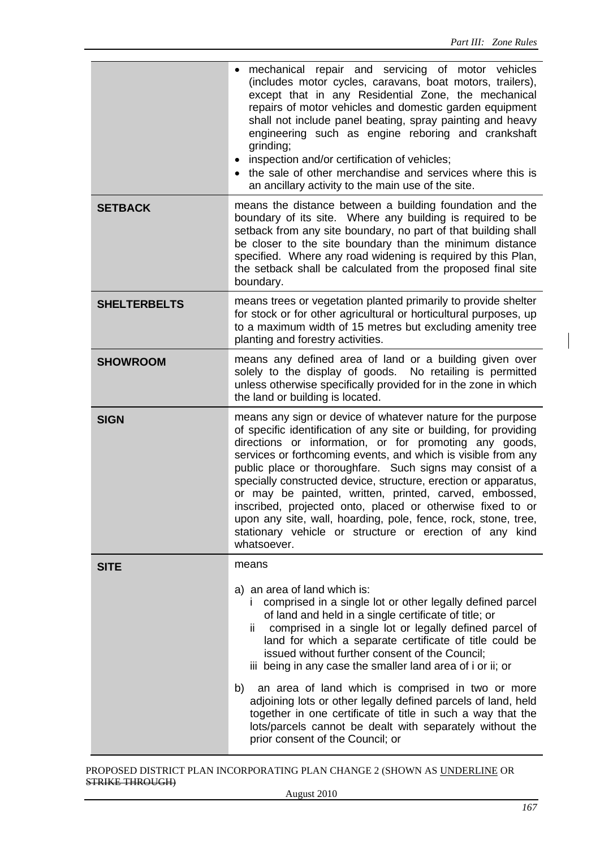|                     | • mechanical repair and servicing of motor vehicles<br>(includes motor cycles, caravans, boat motors, trailers),<br>except that in any Residential Zone, the mechanical<br>repairs of motor vehicles and domestic garden equipment<br>shall not include panel beating, spray painting and heavy<br>engineering such as engine reboring and crankshaft<br>grinding;<br>• inspection and/or certification of vehicles;<br>• the sale of other merchandise and services where this is<br>an ancillary activity to the main use of the site.                                                                                                                        |  |  |
|---------------------|-----------------------------------------------------------------------------------------------------------------------------------------------------------------------------------------------------------------------------------------------------------------------------------------------------------------------------------------------------------------------------------------------------------------------------------------------------------------------------------------------------------------------------------------------------------------------------------------------------------------------------------------------------------------|--|--|
| <b>SETBACK</b>      | means the distance between a building foundation and the<br>boundary of its site. Where any building is required to be<br>setback from any site boundary, no part of that building shall<br>be closer to the site boundary than the minimum distance<br>specified. Where any road widening is required by this Plan,<br>the setback shall be calculated from the proposed final site<br>boundary.                                                                                                                                                                                                                                                               |  |  |
| <b>SHELTERBELTS</b> | means trees or vegetation planted primarily to provide shelter<br>for stock or for other agricultural or horticultural purposes, up<br>to a maximum width of 15 metres but excluding amenity tree<br>planting and forestry activities.                                                                                                                                                                                                                                                                                                                                                                                                                          |  |  |
| <b>SHOWROOM</b>     | means any defined area of land or a building given over<br>solely to the display of goods. No retailing is permitted<br>unless otherwise specifically provided for in the zone in which<br>the land or building is located.                                                                                                                                                                                                                                                                                                                                                                                                                                     |  |  |
| <b>SIGN</b>         | means any sign or device of whatever nature for the purpose<br>of specific identification of any site or building, for providing<br>directions or information, or for promoting any goods,<br>services or forthcoming events, and which is visible from any<br>public place or thoroughfare. Such signs may consist of a<br>specially constructed device, structure, erection or apparatus,<br>or may be painted, written, printed, carved, embossed,<br>inscribed, projected onto, placed or otherwise fixed to or<br>upon any site, wall, hoarding, pole, fence, rock, stone, tree,<br>stationary vehicle or structure or erection of any kind<br>whatsoever. |  |  |
| <b>SITE</b>         | means                                                                                                                                                                                                                                                                                                                                                                                                                                                                                                                                                                                                                                                           |  |  |
|                     | a) an area of land which is:<br>comprised in a single lot or other legally defined parcel<br>$\mathbf{I}$<br>of land and held in a single certificate of title; or<br>comprised in a single lot or legally defined parcel of<br>ΪĹ.<br>land for which a separate certificate of title could be<br>issued without further consent of the Council;<br>iii being in any case the smaller land area of i or ii; or                                                                                                                                                                                                                                                  |  |  |
|                     | an area of land which is comprised in two or more<br>b)<br>adjoining lots or other legally defined parcels of land, held<br>together in one certificate of title in such a way that the<br>lots/parcels cannot be dealt with separately without the<br>prior consent of the Council; or                                                                                                                                                                                                                                                                                                                                                                         |  |  |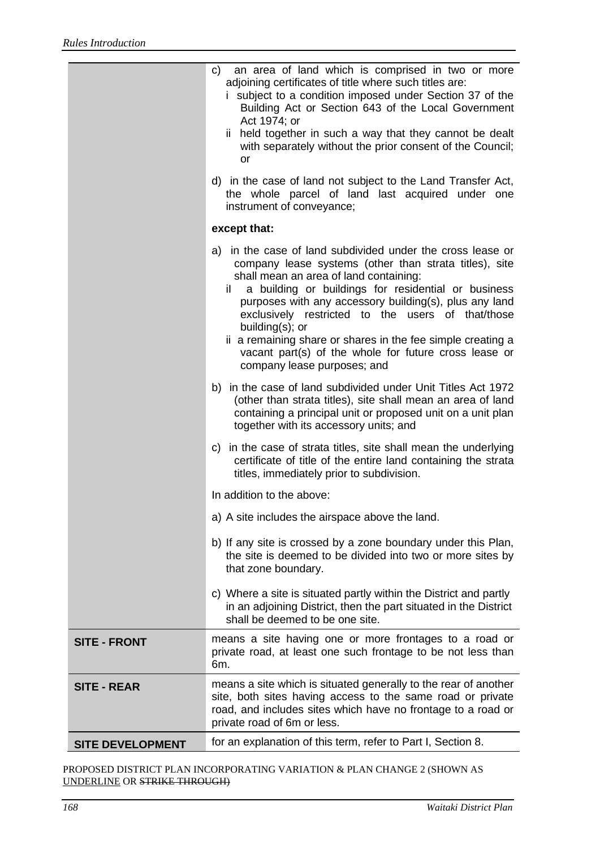|                         | an area of land which is comprised in two or more<br>C)<br>adjoining certificates of title where such titles are:<br>i subject to a condition imposed under Section 37 of the<br>Building Act or Section 643 of the Local Government<br>Act 1974; or<br>ii held together in such a way that they cannot be dealt<br>with separately without the prior consent of the Council;<br>or<br>d) in the case of land not subject to the Land Transfer Act,<br>the whole parcel of land last acquired under one<br>instrument of conveyance; |  |
|-------------------------|--------------------------------------------------------------------------------------------------------------------------------------------------------------------------------------------------------------------------------------------------------------------------------------------------------------------------------------------------------------------------------------------------------------------------------------------------------------------------------------------------------------------------------------|--|
|                         | except that:                                                                                                                                                                                                                                                                                                                                                                                                                                                                                                                         |  |
|                         | a) in the case of land subdivided under the cross lease or<br>company lease systems (other than strata titles), site<br>shall mean an area of land containing:<br>a building or buildings for residential or business<br>il -<br>purposes with any accessory building(s), plus any land<br>exclusively restricted to the users of that/those<br>building(s); or<br>ii a remaining share or shares in the fee simple creating a<br>vacant part(s) of the whole for future cross lease or<br>company lease purposes; and               |  |
|                         | b) in the case of land subdivided under Unit Titles Act 1972<br>(other than strata titles), site shall mean an area of land<br>containing a principal unit or proposed unit on a unit plan<br>together with its accessory units; and                                                                                                                                                                                                                                                                                                 |  |
|                         | c) in the case of strata titles, site shall mean the underlying<br>certificate of title of the entire land containing the strata<br>titles, immediately prior to subdivision.                                                                                                                                                                                                                                                                                                                                                        |  |
|                         | In addition to the above:                                                                                                                                                                                                                                                                                                                                                                                                                                                                                                            |  |
|                         | a) A site includes the airspace above the land.                                                                                                                                                                                                                                                                                                                                                                                                                                                                                      |  |
|                         | b) If any site is crossed by a zone boundary under this Plan,<br>the site is deemed to be divided into two or more sites by<br>that zone boundary.                                                                                                                                                                                                                                                                                                                                                                                   |  |
|                         | c) Where a site is situated partly within the District and partly<br>in an adjoining District, then the part situated in the District<br>shall be deemed to be one site.                                                                                                                                                                                                                                                                                                                                                             |  |
| <b>SITE - FRONT</b>     | means a site having one or more frontages to a road or<br>private road, at least one such frontage to be not less than<br>6m.                                                                                                                                                                                                                                                                                                                                                                                                        |  |
| <b>SITE - REAR</b>      | means a site which is situated generally to the rear of another<br>site, both sites having access to the same road or private<br>road, and includes sites which have no frontage to a road or<br>private road of 6m or less.                                                                                                                                                                                                                                                                                                         |  |
| <b>SITE DEVELOPMENT</b> | for an explanation of this term, refer to Part I, Section 8.                                                                                                                                                                                                                                                                                                                                                                                                                                                                         |  |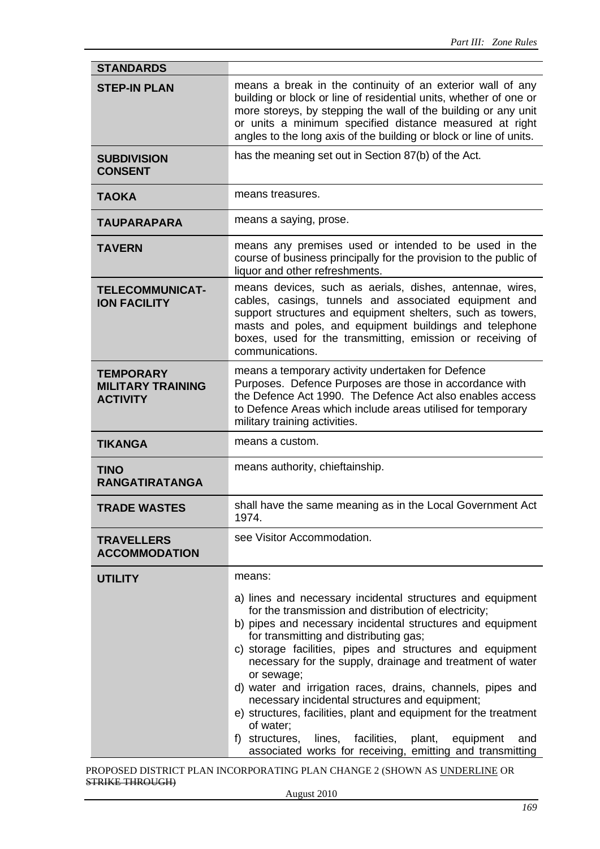| <b>STANDARDS</b>                                                |                                                                                                                                                                                                                                                                                                                                                                                                                                                                                                                                                                                |  |  |
|-----------------------------------------------------------------|--------------------------------------------------------------------------------------------------------------------------------------------------------------------------------------------------------------------------------------------------------------------------------------------------------------------------------------------------------------------------------------------------------------------------------------------------------------------------------------------------------------------------------------------------------------------------------|--|--|
| <b>STEP-IN PLAN</b>                                             | means a break in the continuity of an exterior wall of any<br>building or block or line of residential units, whether of one or<br>more storeys, by stepping the wall of the building or any unit<br>or units a minimum specified distance measured at right<br>angles to the long axis of the building or block or line of units.                                                                                                                                                                                                                                             |  |  |
| <b>SUBDIVISION</b><br><b>CONSENT</b>                            | has the meaning set out in Section 87(b) of the Act.                                                                                                                                                                                                                                                                                                                                                                                                                                                                                                                           |  |  |
| <b>TAOKA</b>                                                    | means treasures.                                                                                                                                                                                                                                                                                                                                                                                                                                                                                                                                                               |  |  |
| <b>TAUPARAPARA</b>                                              | means a saying, prose.                                                                                                                                                                                                                                                                                                                                                                                                                                                                                                                                                         |  |  |
| <b>TAVERN</b>                                                   | means any premises used or intended to be used in the<br>course of business principally for the provision to the public of<br>liquor and other refreshments.                                                                                                                                                                                                                                                                                                                                                                                                                   |  |  |
| <b>TELECOMMUNICAT-</b><br><b>ION FACILITY</b>                   | means devices, such as aerials, dishes, antennae, wires,<br>cables, casings, tunnels and associated equipment and<br>support structures and equipment shelters, such as towers,<br>masts and poles, and equipment buildings and telephone<br>boxes, used for the transmitting, emission or receiving of<br>communications.                                                                                                                                                                                                                                                     |  |  |
| <b>TEMPORARY</b><br><b>MILITARY TRAINING</b><br><b>ACTIVITY</b> | means a temporary activity undertaken for Defence<br>Purposes. Defence Purposes are those in accordance with<br>the Defence Act 1990. The Defence Act also enables access<br>to Defence Areas which include areas utilised for temporary<br>military training activities.                                                                                                                                                                                                                                                                                                      |  |  |
| <b>TIKANGA</b>                                                  | means a custom.                                                                                                                                                                                                                                                                                                                                                                                                                                                                                                                                                                |  |  |
| <b>TINO</b><br><b>RANGATIRATANGA</b>                            | means authority, chieftainship.                                                                                                                                                                                                                                                                                                                                                                                                                                                                                                                                                |  |  |
| <b>TRADE WASTES</b>                                             | shall have the same meaning as in the Local Government Act<br>1974.                                                                                                                                                                                                                                                                                                                                                                                                                                                                                                            |  |  |
| <b>TRAVELLERS</b><br><b>ACCOMMODATION</b>                       | see Visitor Accommodation.                                                                                                                                                                                                                                                                                                                                                                                                                                                                                                                                                     |  |  |
| <b>UTILITY</b>                                                  | means:<br>a) lines and necessary incidental structures and equipment<br>for the transmission and distribution of electricity;<br>b) pipes and necessary incidental structures and equipment<br>for transmitting and distributing gas;<br>c) storage facilities, pipes and structures and equipment<br>necessary for the supply, drainage and treatment of water<br>or sewage;<br>d) water and irrigation races, drains, channels, pipes and<br>necessary incidental structures and equipment;<br>e) structures, facilities, plant and equipment for the treatment<br>of water; |  |  |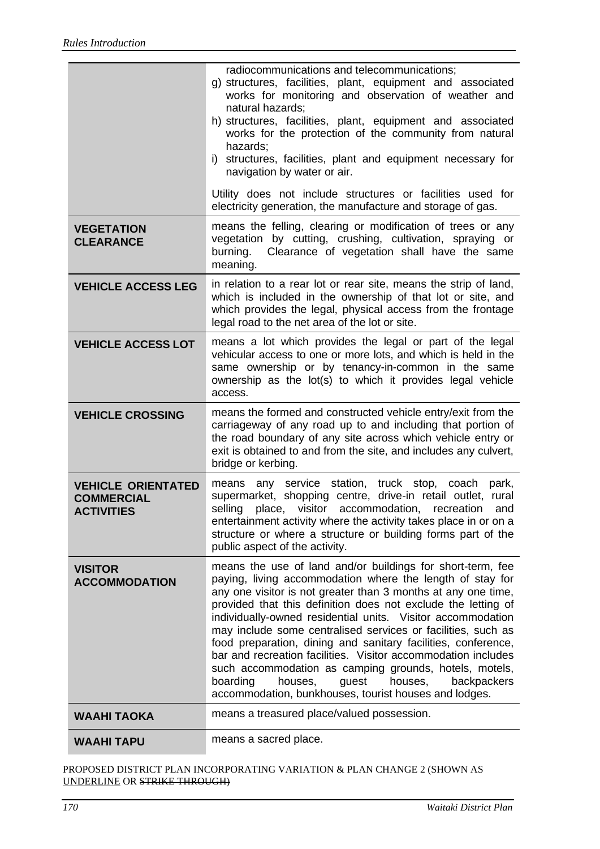|                                                                     | radiocommunications and telecommunications;<br>g) structures, facilities, plant, equipment and associated<br>works for monitoring and observation of weather and<br>natural hazards;<br>h) structures, facilities, plant, equipment and associated<br>works for the protection of the community from natural<br>hazards;<br>structures, facilities, plant and equipment necessary for<br>i)<br>navigation by water or air.                                                                                                                                                                                                                                                                              |  |  |  |
|---------------------------------------------------------------------|---------------------------------------------------------------------------------------------------------------------------------------------------------------------------------------------------------------------------------------------------------------------------------------------------------------------------------------------------------------------------------------------------------------------------------------------------------------------------------------------------------------------------------------------------------------------------------------------------------------------------------------------------------------------------------------------------------|--|--|--|
|                                                                     | Utility does not include structures or facilities used for<br>electricity generation, the manufacture and storage of gas.                                                                                                                                                                                                                                                                                                                                                                                                                                                                                                                                                                               |  |  |  |
| <b>VEGETATION</b><br><b>CLEARANCE</b>                               | means the felling, clearing or modification of trees or any<br>vegetation by cutting, crushing, cultivation, spraying or<br>Clearance of vegetation shall have the same<br>burning.<br>meaning.                                                                                                                                                                                                                                                                                                                                                                                                                                                                                                         |  |  |  |
| <b>VEHICLE ACCESS LEG</b>                                           | in relation to a rear lot or rear site, means the strip of land,<br>which is included in the ownership of that lot or site, and<br>which provides the legal, physical access from the frontage<br>legal road to the net area of the lot or site.                                                                                                                                                                                                                                                                                                                                                                                                                                                        |  |  |  |
| <b>VEHICLE ACCESS LOT</b>                                           | means a lot which provides the legal or part of the legal<br>vehicular access to one or more lots, and which is held in the<br>same ownership or by tenancy-in-common in the same<br>ownership as the lot(s) to which it provides legal vehicle<br>access.                                                                                                                                                                                                                                                                                                                                                                                                                                              |  |  |  |
| <b>VEHICLE CROSSING</b>                                             | means the formed and constructed vehicle entry/exit from the<br>carriageway of any road up to and including that portion of<br>the road boundary of any site across which vehicle entry or<br>exit is obtained to and from the site, and includes any culvert,<br>bridge or kerbing.                                                                                                                                                                                                                                                                                                                                                                                                                    |  |  |  |
| <b>VEHICLE ORIENTATED</b><br><b>COMMERCIAL</b><br><b>ACTIVITIES</b> | any service station, truck stop, coach<br>park,<br>means<br>supermarket, shopping centre, drive-in retail outlet, rural<br>selling<br>place,<br>visitor<br>accommodation,<br>recreation<br>and<br>entertainment activity where the activity takes place in or on a<br>structure or where a structure or building forms part of the<br>public aspect of the activity.                                                                                                                                                                                                                                                                                                                                    |  |  |  |
| <b>VISITOR</b><br><b>ACCOMMODATION</b>                              | means the use of land and/or buildings for short-term, fee<br>paying, living accommodation where the length of stay for<br>any one visitor is not greater than 3 months at any one time,<br>provided that this definition does not exclude the letting of<br>individually-owned residential units. Visitor accommodation<br>may include some centralised services or facilities, such as<br>food preparation, dining and sanitary facilities, conference,<br>bar and recreation facilities. Visitor accommodation includes<br>such accommodation as camping grounds, hotels, motels,<br>houses,<br>guest<br>houses,<br>backpackers<br>boarding<br>accommodation, bunkhouses, tourist houses and lodges. |  |  |  |
| <b>WAAHI TAOKA</b>                                                  | means a treasured place/valued possession.                                                                                                                                                                                                                                                                                                                                                                                                                                                                                                                                                                                                                                                              |  |  |  |
| <b>WAAHI TAPU</b>                                                   | means a sacred place.                                                                                                                                                                                                                                                                                                                                                                                                                                                                                                                                                                                                                                                                                   |  |  |  |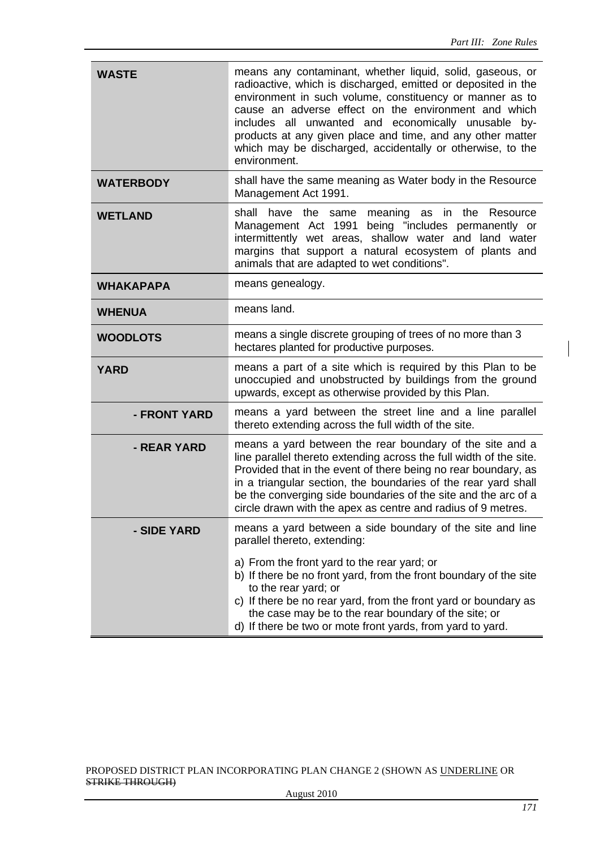| <b>WASTE</b>     | means any contaminant, whether liquid, solid, gaseous, or<br>radioactive, which is discharged, emitted or deposited in the<br>environment in such volume, constituency or manner as to<br>cause an adverse effect on the environment and which<br>includes all unwanted and economically unusable by-<br>products at any given place and time, and any other matter<br>which may be discharged, accidentally or otherwise, to the<br>environment.                                                                                                                                                                                                                                                          |  |
|------------------|------------------------------------------------------------------------------------------------------------------------------------------------------------------------------------------------------------------------------------------------------------------------------------------------------------------------------------------------------------------------------------------------------------------------------------------------------------------------------------------------------------------------------------------------------------------------------------------------------------------------------------------------------------------------------------------------------------|--|
| <b>WATERBODY</b> | shall have the same meaning as Water body in the Resource<br>Management Act 1991.                                                                                                                                                                                                                                                                                                                                                                                                                                                                                                                                                                                                                          |  |
| <b>WETLAND</b>   | shall<br>have the<br>same<br>meaning as in the Resource<br>Management Act 1991<br>being "includes permanently or<br>intermittently wet areas, shallow water and land water<br>margins that support a natural ecosystem of plants and<br>animals that are adapted to wet conditions".                                                                                                                                                                                                                                                                                                                                                                                                                       |  |
| <b>WHAKAPAPA</b> | means genealogy.                                                                                                                                                                                                                                                                                                                                                                                                                                                                                                                                                                                                                                                                                           |  |
| <b>WHENUA</b>    | means land.                                                                                                                                                                                                                                                                                                                                                                                                                                                                                                                                                                                                                                                                                                |  |
| <b>WOODLOTS</b>  | means a single discrete grouping of trees of no more than 3<br>hectares planted for productive purposes.                                                                                                                                                                                                                                                                                                                                                                                                                                                                                                                                                                                                   |  |
| <b>YARD</b>      | means a part of a site which is required by this Plan to be<br>unoccupied and unobstructed by buildings from the ground<br>upwards, except as otherwise provided by this Plan.<br>means a yard between the street line and a line parallel<br>thereto extending across the full width of the site.<br>means a yard between the rear boundary of the site and a<br>line parallel thereto extending across the full width of the site.<br>Provided that in the event of there being no rear boundary, as<br>in a triangular section, the boundaries of the rear yard shall<br>be the converging side boundaries of the site and the arc of a<br>circle drawn with the apex as centre and radius of 9 metres. |  |
| - FRONT YARD     |                                                                                                                                                                                                                                                                                                                                                                                                                                                                                                                                                                                                                                                                                                            |  |
| - REAR YARD      |                                                                                                                                                                                                                                                                                                                                                                                                                                                                                                                                                                                                                                                                                                            |  |
| - SIDE YARD      | means a yard between a side boundary of the site and line<br>parallel thereto, extending:                                                                                                                                                                                                                                                                                                                                                                                                                                                                                                                                                                                                                  |  |
|                  | a) From the front yard to the rear yard; or<br>b) If there be no front yard, from the front boundary of the site<br>to the rear yard; or<br>c) If there be no rear yard, from the front yard or boundary as<br>the case may be to the rear boundary of the site; or<br>d) If there be two or mote front yards, from yard to yard.                                                                                                                                                                                                                                                                                                                                                                          |  |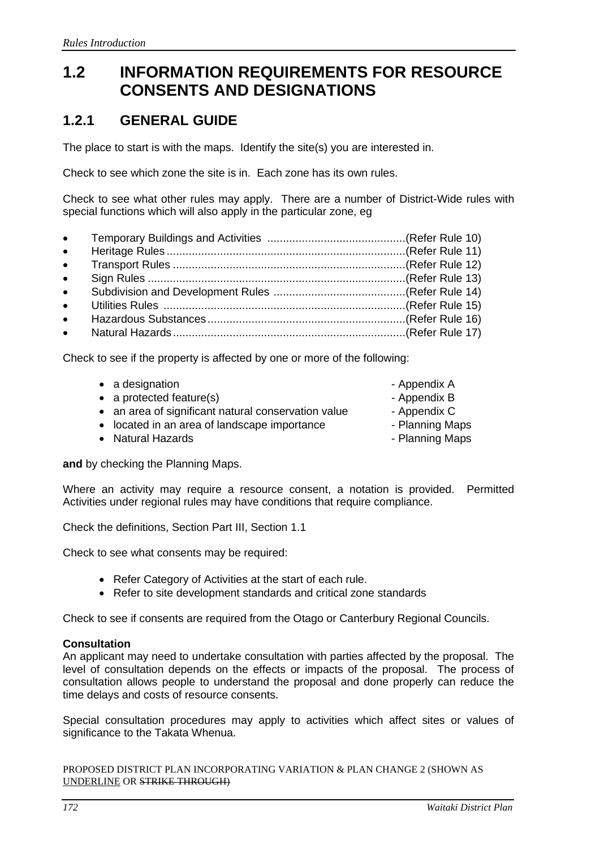# **1.2 INFORMATION REQUIREMENTS FOR RESOURCE CONSENTS AND DESIGNATIONS**

## **1.2.1 GENERAL GUIDE**

The place to start is with the maps. Identify the site(s) you are interested in.

Check to see which zone the site is in. Each zone has its own rules.

Check to see what other rules may apply. There are a number of District-Wide rules with special functions which will also apply in the particular zone, eg

• Temporary Buildings and Activities ............................................(Refer Rule 10) • Heritage Rules ............................................................................(Refer Rule 11) • Transport Rules ..........................................................................(Refer Rule 12) • Sign Rules ..................................................................................(Refer Rule 13) • Subdivision and Development Rules ..........................................(Refer Rule 14) • Utilities Rules .............................................................................(Refer Rule 15) • Hazardous Substances...............................................................(Refer Rule 16) • Natural Hazards..........................................................................(Refer Rule 17)

Check to see if the property is affected by one or more of the following:

| • a designation                                     | - Appendix A    |
|-----------------------------------------------------|-----------------|
| $\bullet$ a protected feature(s)                    | - Appendix B    |
| • an area of significant natural conservation value | - Appendix C    |
| • located in an area of landscape importance        | - Planning Maps |
| • Natural Hazards                                   | - Planning Maps |
|                                                     |                 |

**and** by checking the Planning Maps.

Where an activity may require a resource consent, a notation is provided. Permitted Activities under regional rules may have conditions that require compliance.

Check the definitions, Section Part III, Section 1.1

Check to see what consents may be required:

- Refer Category of Activities at the start of each rule.
- Refer to site development standards and critical zone standards

Check to see if consents are required from the Otago or Canterbury Regional Councils.

#### **Consultation**

An applicant may need to undertake consultation with parties affected by the proposal. The level of consultation depends on the effects or impacts of the proposal. The process of consultation allows people to understand the proposal and done properly can reduce the time delays and costs of resource consents.

Special consultation procedures may apply to activities which affect sites or values of significance to the Takata Whenua.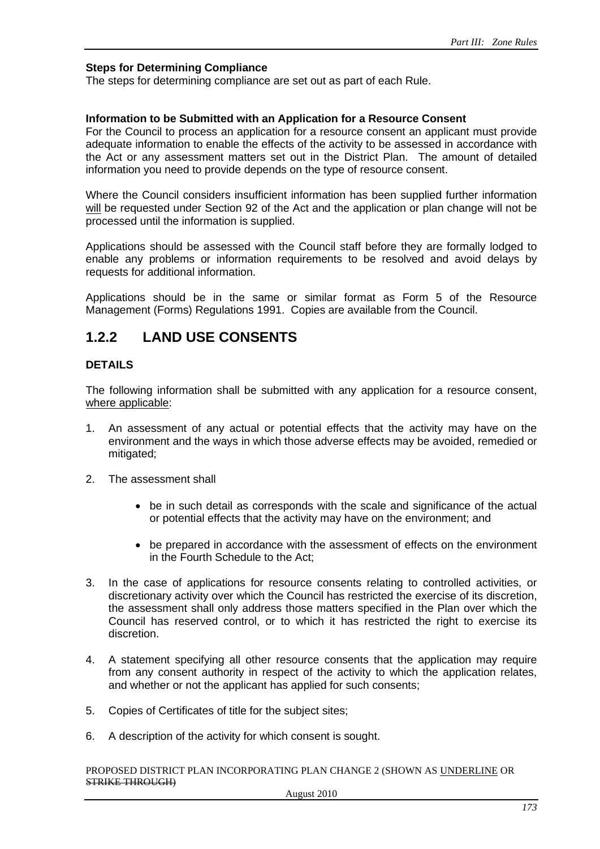#### **Steps for Determining Compliance**

The steps for determining compliance are set out as part of each Rule.

#### **Information to be Submitted with an Application for a Resource Consent**

For the Council to process an application for a resource consent an applicant must provide adequate information to enable the effects of the activity to be assessed in accordance with the Act or any assessment matters set out in the District Plan. The amount of detailed information you need to provide depends on the type of resource consent.

Where the Council considers insufficient information has been supplied further information will be requested under Section 92 of the Act and the application or plan change will not be processed until the information is supplied.

Applications should be assessed with the Council staff before they are formally lodged to enable any problems or information requirements to be resolved and avoid delays by requests for additional information.

Applications should be in the same or similar format as Form 5 of the Resource Management (Forms) Regulations 1991. Copies are available from the Council.

### **1.2.2 LAND USE CONSENTS**

#### **DETAILS**

The following information shall be submitted with any application for a resource consent, where applicable:

- 1. An assessment of any actual or potential effects that the activity may have on the environment and the ways in which those adverse effects may be avoided, remedied or mitigated;
- 2. The assessment shall
	- be in such detail as corresponds with the scale and significance of the actual or potential effects that the activity may have on the environment; and
	- be prepared in accordance with the assessment of effects on the environment in the Fourth Schedule to the Act;
- 3. In the case of applications for resource consents relating to controlled activities, or discretionary activity over which the Council has restricted the exercise of its discretion, the assessment shall only address those matters specified in the Plan over which the Council has reserved control, or to which it has restricted the right to exercise its discretion.
- 4. A statement specifying all other resource consents that the application may require from any consent authority in respect of the activity to which the application relates, and whether or not the applicant has applied for such consents;
- 5. Copies of Certificates of title for the subject sites;
- 6. A description of the activity for which consent is sought.

PROPOSED DISTRICT PLAN INCORPORATING PLAN CHANGE 2 (SHOWN AS UNDERLINE OR STRIKE THROUGH)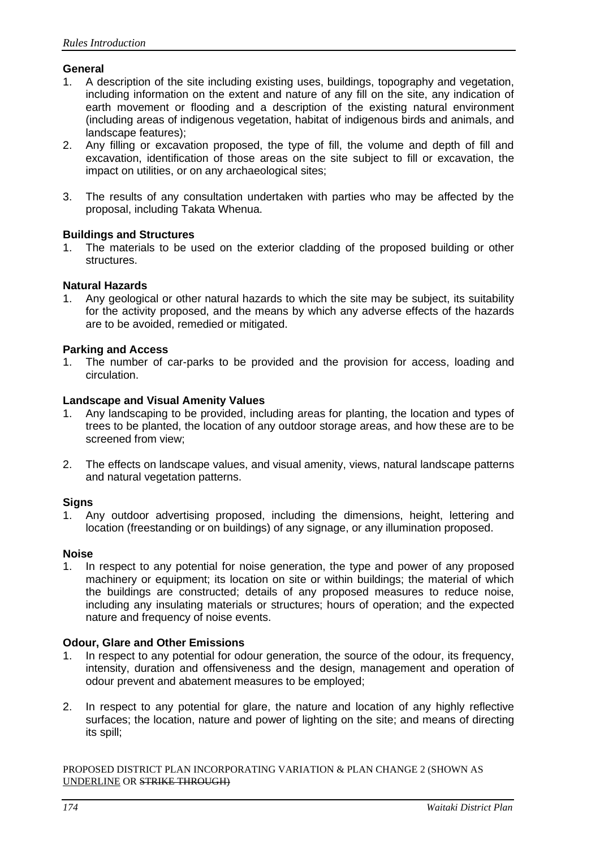#### **General**

- 1. A description of the site including existing uses, buildings, topography and vegetation, including information on the extent and nature of any fill on the site, any indication of earth movement or flooding and a description of the existing natural environment (including areas of indigenous vegetation, habitat of indigenous birds and animals, and landscape features);
- 2. Any filling or excavation proposed, the type of fill, the volume and depth of fill and excavation, identification of those areas on the site subject to fill or excavation, the impact on utilities, or on any archaeological sites;
- 3. The results of any consultation undertaken with parties who may be affected by the proposal, including Takata Whenua.

#### **Buildings and Structures**

1. The materials to be used on the exterior cladding of the proposed building or other structures.

#### **Natural Hazards**

1. Any geological or other natural hazards to which the site may be subject, its suitability for the activity proposed, and the means by which any adverse effects of the hazards are to be avoided, remedied or mitigated.

#### **Parking and Access**

1. The number of car-parks to be provided and the provision for access, loading and circulation.

#### **Landscape and Visual Amenity Values**

- 1. Any landscaping to be provided, including areas for planting, the location and types of trees to be planted, the location of any outdoor storage areas, and how these are to be screened from view;
- 2. The effects on landscape values, and visual amenity, views, natural landscape patterns and natural vegetation patterns.

#### **Signs**

1. Any outdoor advertising proposed, including the dimensions, height, lettering and location (freestanding or on buildings) of any signage, or any illumination proposed.

#### **Noise**

1. In respect to any potential for noise generation, the type and power of any proposed machinery or equipment; its location on site or within buildings; the material of which the buildings are constructed; details of any proposed measures to reduce noise, including any insulating materials or structures; hours of operation; and the expected nature and frequency of noise events.

#### **Odour, Glare and Other Emissions**

- 1. In respect to any potential for odour generation, the source of the odour, its frequency, intensity, duration and offensiveness and the design, management and operation of odour prevent and abatement measures to be employed;
- 2. In respect to any potential for glare, the nature and location of any highly reflective surfaces; the location, nature and power of lighting on the site; and means of directing its spill;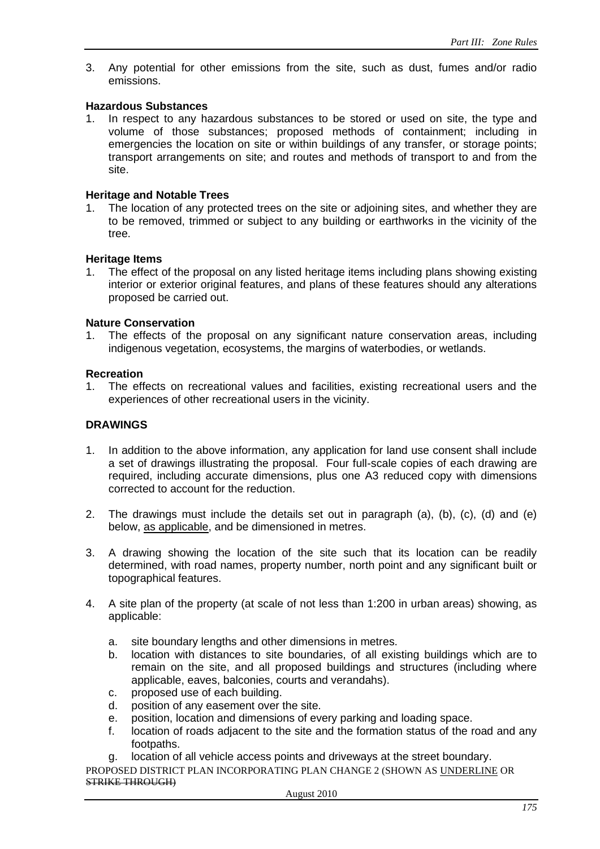3. Any potential for other emissions from the site, such as dust, fumes and/or radio emissions.

#### **Hazardous Substances**

1. In respect to any hazardous substances to be stored or used on site, the type and volume of those substances; proposed methods of containment; including in emergencies the location on site or within buildings of any transfer, or storage points; transport arrangements on site; and routes and methods of transport to and from the site.

#### **Heritage and Notable Trees**

1. The location of any protected trees on the site or adjoining sites, and whether they are to be removed, trimmed or subject to any building or earthworks in the vicinity of the tree.

#### **Heritage Items**

1. The effect of the proposal on any listed heritage items including plans showing existing interior or exterior original features, and plans of these features should any alterations proposed be carried out.

#### **Nature Conservation**

1. The effects of the proposal on any significant nature conservation areas, including indigenous vegetation, ecosystems, the margins of waterbodies, or wetlands.

#### **Recreation**

1. The effects on recreational values and facilities, existing recreational users and the experiences of other recreational users in the vicinity.

#### **DRAWINGS**

- 1. In addition to the above information, any application for land use consent shall include a set of drawings illustrating the proposal. Four full-scale copies of each drawing are required, including accurate dimensions, plus one A3 reduced copy with dimensions corrected to account for the reduction.
- 2. The drawings must include the details set out in paragraph (a), (b), (c), (d) and (e) below, as applicable, and be dimensioned in metres.
- 3. A drawing showing the location of the site such that its location can be readily determined, with road names, property number, north point and any significant built or topographical features.
- 4. A site plan of the property (at scale of not less than 1:200 in urban areas) showing, as applicable:
	- a. site boundary lengths and other dimensions in metres.
	- b. location with distances to site boundaries, of all existing buildings which are to remain on the site, and all proposed buildings and structures (including where applicable, eaves, balconies, courts and verandahs).
	- c. proposed use of each building.
	- d. position of any easement over the site.
	- e. position, location and dimensions of every parking and loading space.
	- f. location of roads adjacent to the site and the formation status of the road and any footpaths.
	- g. location of all vehicle access points and driveways at the street boundary.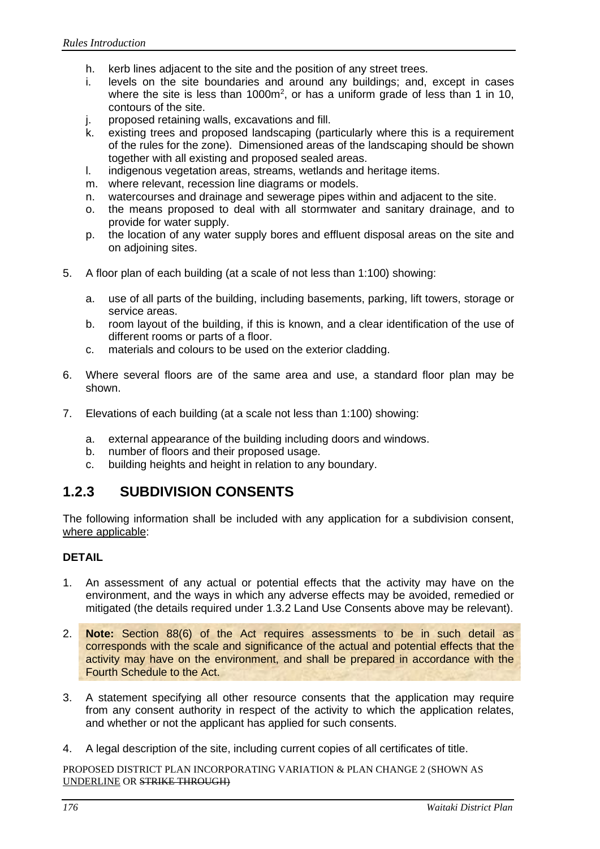- h. kerb lines adjacent to the site and the position of any street trees.
- i. levels on the site boundaries and around any buildings; and, except in cases where the site is less than 1000m<sup>2</sup>, or has a uniform grade of less than 1 in 10, contours of the site.
- j. proposed retaining walls, excavations and fill.
- k. existing trees and proposed landscaping (particularly where this is a requirement of the rules for the zone). Dimensioned areas of the landscaping should be shown together with all existing and proposed sealed areas.
- l. indigenous vegetation areas, streams, wetlands and heritage items.
- m. where relevant, recession line diagrams or models.
- n. watercourses and drainage and sewerage pipes within and adjacent to the site.
- o. the means proposed to deal with all stormwater and sanitary drainage, and to provide for water supply.
- p. the location of any water supply bores and effluent disposal areas on the site and on adjoining sites.
- 5. A floor plan of each building (at a scale of not less than 1:100) showing:
	- a. use of all parts of the building, including basements, parking, lift towers, storage or service areas.
	- b. room layout of the building, if this is known, and a clear identification of the use of different rooms or parts of a floor.
	- c. materials and colours to be used on the exterior cladding.
- 6. Where several floors are of the same area and use, a standard floor plan may be shown.
- 7. Elevations of each building (at a scale not less than 1:100) showing:
	- a. external appearance of the building including doors and windows.
	- b. number of floors and their proposed usage.
	- c. building heights and height in relation to any boundary.

### **1.2.3 SUBDIVISION CONSENTS**

The following information shall be included with any application for a subdivision consent, where applicable:

#### **DETAIL**

- 1. An assessment of any actual or potential effects that the activity may have on the environment, and the ways in which any adverse effects may be avoided, remedied or mitigated (the details required under 1.3.2 Land Use Consents above may be relevant).
- 2. **Note:** Section 88(6) of the Act requires assessments to be in such detail as corresponds with the scale and significance of the actual and potential effects that the activity may have on the environment, and shall be prepared in accordance with the Fourth Schedule to the Act.
- 3. A statement specifying all other resource consents that the application may require from any consent authority in respect of the activity to which the application relates, and whether or not the applicant has applied for such consents.
- 4. A legal description of the site, including current copies of all certificates of title.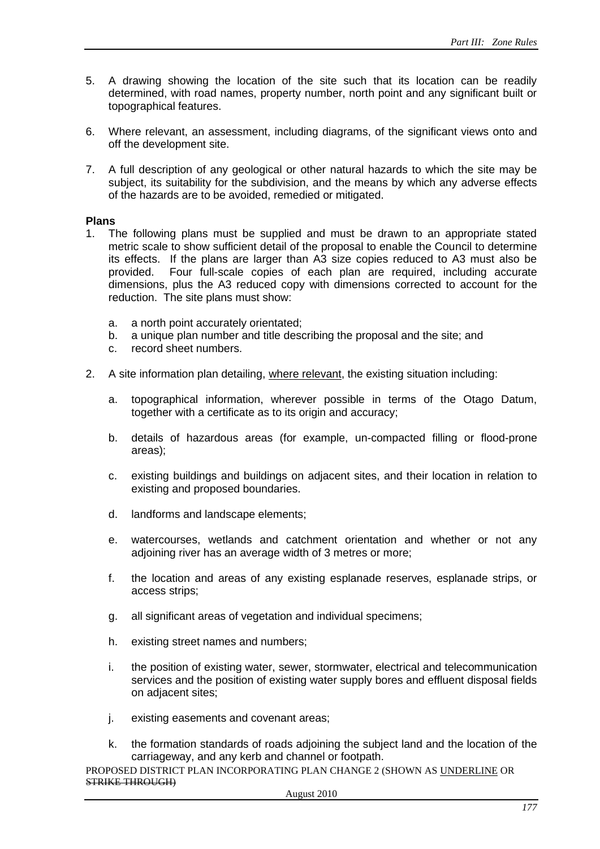- 5. A drawing showing the location of the site such that its location can be readily determined, with road names, property number, north point and any significant built or topographical features.
- 6. Where relevant, an assessment, including diagrams, of the significant views onto and off the development site.
- 7. A full description of any geological or other natural hazards to which the site may be subject, its suitability for the subdivision, and the means by which any adverse effects of the hazards are to be avoided, remedied or mitigated.

#### **Plans**

- 1. The following plans must be supplied and must be drawn to an appropriate stated metric scale to show sufficient detail of the proposal to enable the Council to determine its effects. If the plans are larger than A3 size copies reduced to A3 must also be provided. Four full-scale copies of each plan are required, including accurate dimensions, plus the A3 reduced copy with dimensions corrected to account for the reduction. The site plans must show:
	- a. a north point accurately orientated;
	- b. a unique plan number and title describing the proposal and the site; and
	- c. record sheet numbers.
- 2. A site information plan detailing, where relevant, the existing situation including:
	- a. topographical information, wherever possible in terms of the Otago Datum, together with a certificate as to its origin and accuracy;
	- b. details of hazardous areas (for example, un-compacted filling or flood-prone areas);
	- c. existing buildings and buildings on adjacent sites, and their location in relation to existing and proposed boundaries.
	- d. landforms and landscape elements;
	- e. watercourses, wetlands and catchment orientation and whether or not any adjoining river has an average width of 3 metres or more;
	- f. the location and areas of any existing esplanade reserves, esplanade strips, or access strips;
	- g. all significant areas of vegetation and individual specimens;
	- h. existing street names and numbers;
	- i. the position of existing water, sewer, stormwater, electrical and telecommunication services and the position of existing water supply bores and effluent disposal fields on adjacent sites;
	- j. existing easements and covenant areas;
	- k. the formation standards of roads adjoining the subject land and the location of the carriageway, and any kerb and channel or footpath.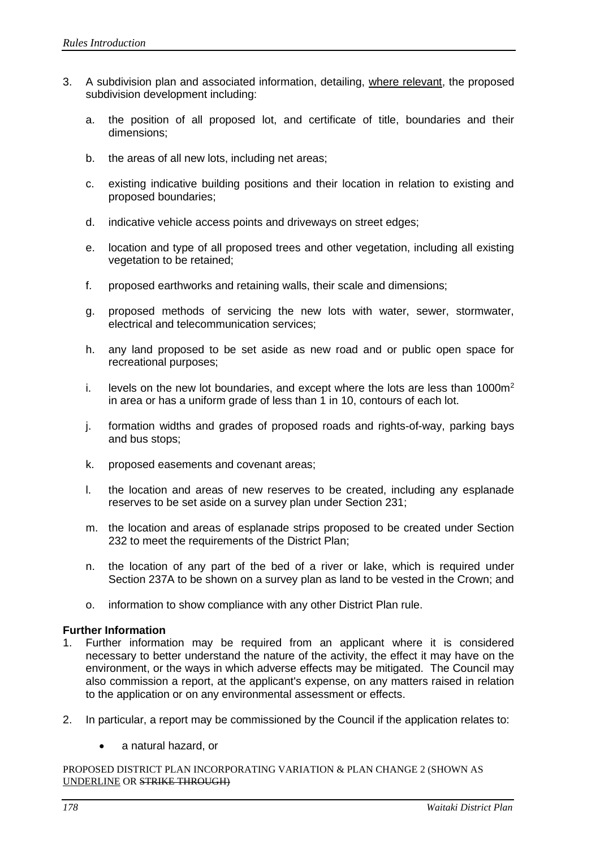- 3. A subdivision plan and associated information, detailing, where relevant, the proposed subdivision development including:
	- a. the position of all proposed lot, and certificate of title, boundaries and their dimensions;
	- b. the areas of all new lots, including net areas;
	- c. existing indicative building positions and their location in relation to existing and proposed boundaries;
	- d. indicative vehicle access points and driveways on street edges;
	- e. location and type of all proposed trees and other vegetation, including all existing vegetation to be retained;
	- f. proposed earthworks and retaining walls, their scale and dimensions;
	- g. proposed methods of servicing the new lots with water, sewer, stormwater, electrical and telecommunication services;
	- h. any land proposed to be set aside as new road and or public open space for recreational purposes;
	- i. levels on the new lot boundaries, and except where the lots are less than  $1000m<sup>2</sup>$ in area or has a uniform grade of less than 1 in 10, contours of each lot.
	- j. formation widths and grades of proposed roads and rights-of-way, parking bays and bus stops;
	- k. proposed easements and covenant areas;
	- l. the location and areas of new reserves to be created, including any esplanade reserves to be set aside on a survey plan under Section 231;
	- m. the location and areas of esplanade strips proposed to be created under Section 232 to meet the requirements of the District Plan;
	- n. the location of any part of the bed of a river or lake, which is required under Section 237A to be shown on a survey plan as land to be vested in the Crown; and
	- o. information to show compliance with any other District Plan rule.

#### **Further Information**

- 1. Further information may be required from an applicant where it is considered necessary to better understand the nature of the activity, the effect it may have on the environment, or the ways in which adverse effects may be mitigated. The Council may also commission a report, at the applicant's expense, on any matters raised in relation to the application or on any environmental assessment or effects.
- 2. In particular, a report may be commissioned by the Council if the application relates to:
	- a natural hazard, or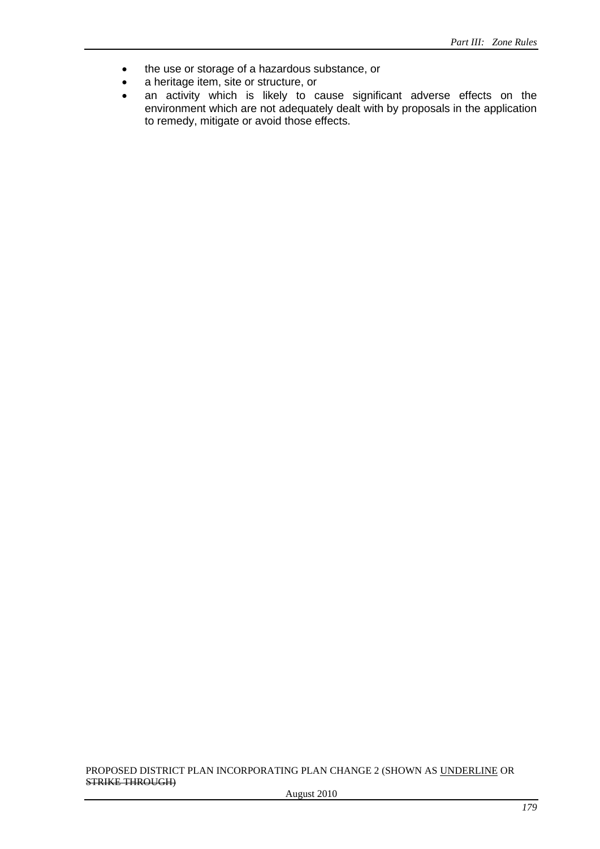- the use or storage of a hazardous substance, or
- a heritage item, site or structure, or
- an activity which is likely to cause significant adverse effects on the environment which are not adequately dealt with by proposals in the application to remedy, mitigate or avoid those effects.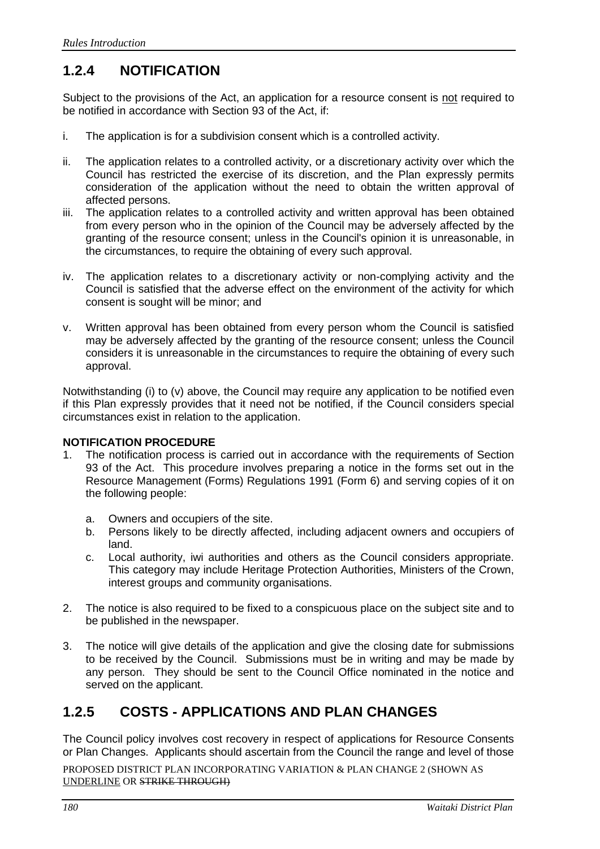# **1.2.4 NOTIFICATION**

Subject to the provisions of the Act, an application for a resource consent is not required to be notified in accordance with Section 93 of the Act, if:

- i. The application is for a subdivision consent which is a controlled activity.
- ii. The application relates to a controlled activity, or a discretionary activity over which the Council has restricted the exercise of its discretion, and the Plan expressly permits consideration of the application without the need to obtain the written approval of affected persons.
- iii. The application relates to a controlled activity and written approval has been obtained from every person who in the opinion of the Council may be adversely affected by the granting of the resource consent; unless in the Council's opinion it is unreasonable, in the circumstances, to require the obtaining of every such approval.
- iv. The application relates to a discretionary activity or non-complying activity and the Council is satisfied that the adverse effect on the environment of the activity for which consent is sought will be minor; and
- v. Written approval has been obtained from every person whom the Council is satisfied may be adversely affected by the granting of the resource consent; unless the Council considers it is unreasonable in the circumstances to require the obtaining of every such approval.

Notwithstanding (i) to (v) above, the Council may require any application to be notified even if this Plan expressly provides that it need not be notified, if the Council considers special circumstances exist in relation to the application.

#### **NOTIFICATION PROCEDURE**

- 1. The notification process is carried out in accordance with the requirements of Section 93 of the Act. This procedure involves preparing a notice in the forms set out in the Resource Management (Forms) Regulations 1991 (Form 6) and serving copies of it on the following people:
	- a. Owners and occupiers of the site.<br>b. Persons likely to be directly affect
	- Persons likely to be directly affected, including adjacent owners and occupiers of land.
	- c. Local authority, iwi authorities and others as the Council considers appropriate. This category may include Heritage Protection Authorities, Ministers of the Crown, interest groups and community organisations.
- 2. The notice is also required to be fixed to a conspicuous place on the subject site and to be published in the newspaper.
- 3. The notice will give details of the application and give the closing date for submissions to be received by the Council. Submissions must be in writing and may be made by any person. They should be sent to the Council Office nominated in the notice and served on the applicant.

### **1.2.5 COSTS - APPLICATIONS AND PLAN CHANGES**

The Council policy involves cost recovery in respect of applications for Resource Consents or Plan Changes. Applicants should ascertain from the Council the range and level of those